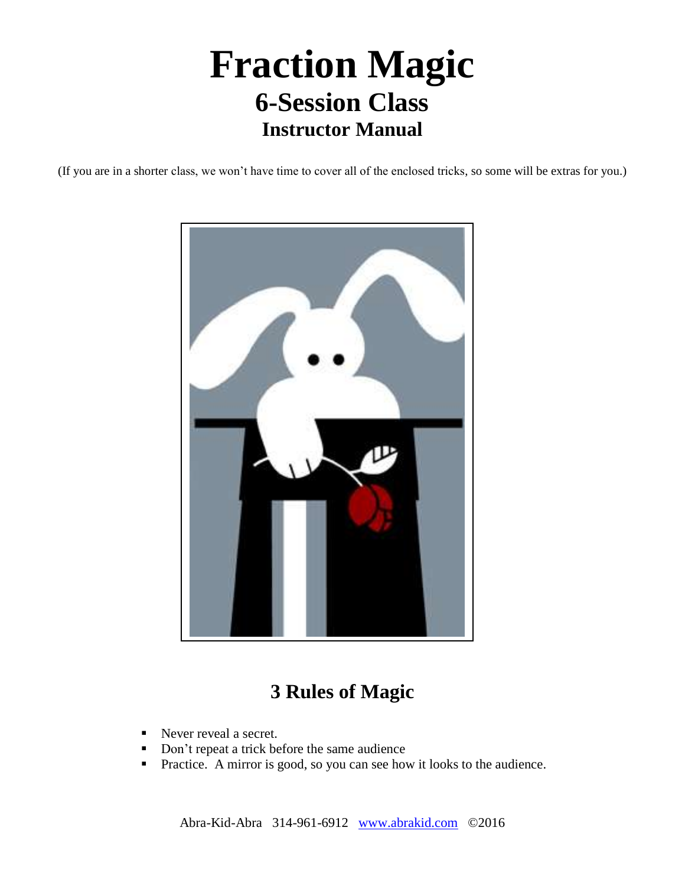# **Fraction Magic 6-Session Class Instructor Manual**

(If you are in a shorter class, we won't have time to cover all of the enclosed tricks, so some will be extras for you.)



# **3 Rules of Magic**

- Never reveal a secret.
- Don't repeat a trick before the same audience
- **Practice.** A mirror is good, so you can see how it looks to the audience.

Abra-Kid-Abra 314-961-6912 [www.abrakid.com](http://www.abrakid.com/) ©2016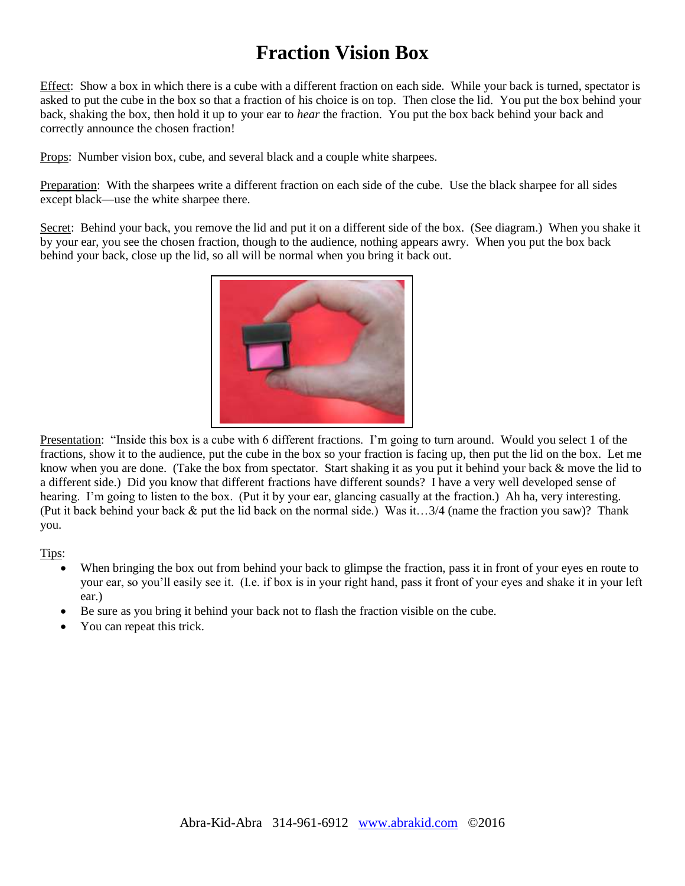# **Fraction Vision Box**

Effect: Show a box in which there is a cube with a different fraction on each side. While your back is turned, spectator is asked to put the cube in the box so that a fraction of his choice is on top. Then close the lid. You put the box behind your back, shaking the box, then hold it up to your ear to *hear* the fraction. You put the box back behind your back and correctly announce the chosen fraction!

Props: Number vision box, cube, and several black and a couple white sharpees.

Preparation: With the sharpees write a different fraction on each side of the cube. Use the black sharpee for all sides except black—use the white sharpee there.

Secret: Behind your back, you remove the lid and put it on a different side of the box. (See diagram.) When you shake it by your ear, you see the chosen fraction, though to the audience, nothing appears awry. When you put the box back behind your back, close up the lid, so all will be normal when you bring it back out.



Presentation: "Inside this box is a cube with 6 different fractions. I'm going to turn around. Would you select 1 of the fractions, show it to the audience, put the cube in the box so your fraction is facing up, then put the lid on the box. Let me know when you are done. (Take the box from spectator. Start shaking it as you put it behind your back & move the lid to a different side.) Did you know that different fractions have different sounds? I have a very well developed sense of hearing. I'm going to listen to the box. (Put it by your ear, glancing casually at the fraction.) Ah ha, very interesting. (Put it back behind your back & put the lid back on the normal side.) Was it…3/4 (name the fraction you saw)? Thank you.

Tips:

- When bringing the box out from behind your back to glimpse the fraction, pass it in front of your eyes en route to your ear, so you'll easily see it. (I.e. if box is in your right hand, pass it front of your eyes and shake it in your left ear.)
- Be sure as you bring it behind your back not to flash the fraction visible on the cube.
- You can repeat this trick.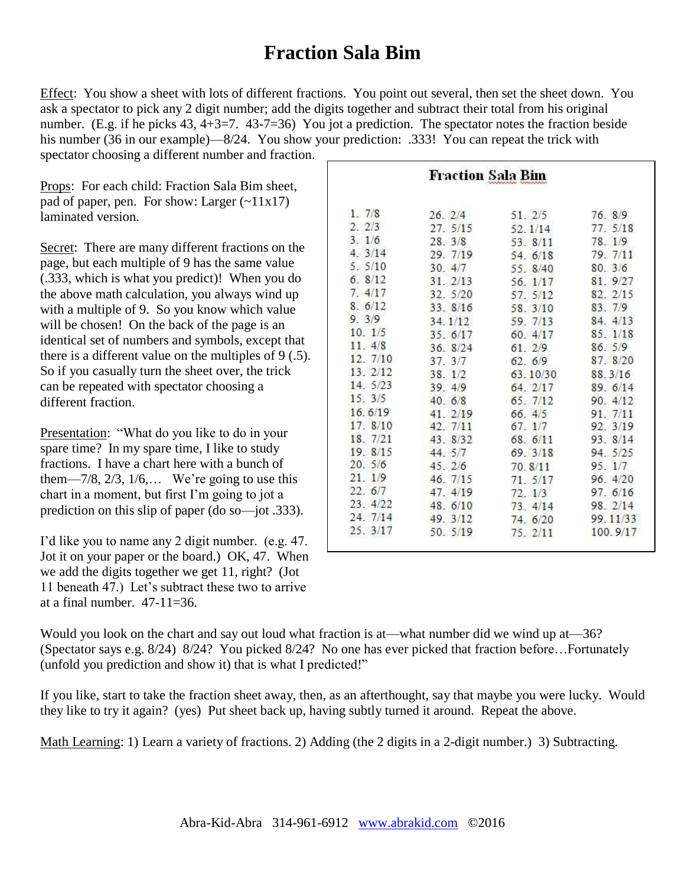### **Fraction Sala Bim**

Effect: You show a sheet with lots of different fractions. You point out several, then set the sheet down. You ask a spectator to pick any 2 digit number; add the digits together and subtract their total from his original number. (E.g. if he picks 43, 4+3=7. 43-7=36) You jot a prediction. The spectator notes the fraction beside his number (36 in our example)—8/24. You show your prediction: .333! You can repeat the trick with spectator choosing a different number and fraction.

Props: For each child: Fraction Sala Bim sheet, pad of paper, pen. For show: Larger  $(-11x17)$ laminated version.

Secret: There are many different fractions on the page, but each multiple of 9 has the same value (.333, which is what you predict)! When you do the above math calculation, you always wind up with a multiple of 9. So you know which value will be chosen! On the back of the page is an identical set of numbers and symbols, except that there is a different value on the multiples of 9 (.5). So if you casually turn the sheet over, the trick can be repeated with spectator choosing a different fraction.

Presentation: "What do you like to do in your spare time? In my spare time, I like to study fractions. I have a chart here with a bunch of them— $7/8$ ,  $2/3$ ,  $1/6$ ,... We're going to use this chart in a moment, but first I'm going to jot a prediction on this slip of paper (do so—jot .333).

I'd like you to name any 2 digit number. (e.g. 47. Jot it on your paper or the board.) OK, 47. When we add the digits together we get 11, right? (Jot 11 beneath 47.) Let's subtract these two to arrive at a final number.  $47-11=36$ .

|                | Fraction Sala Bim |          |          |
|----------------|-------------------|----------|----------|
| 1.7/8          | 26.2/4            | 51. 2/5  | 76. 8/9  |
| 2.2/3          | 27.5/15           | 52.1/14  | 77 5/18  |
| 3.1/6          | $28 \quad 3/8$    | 53.8/11  | 78.1/9   |
| $4 \quad 3/14$ | 29. 7/19          | 54. 6/18 | 79. 7/11 |
| 5.5/10         | 30.4/7            | 55. 8/40 | 80.3/6   |
| 6.8/12         | 31.2/13           | 56 1/17  | 81.927   |
| 7.4/17         | 32. 5/20          | 57. 5/12 | 82. 2/15 |
| 8.6/12         | 33.8/16           | 58. 3/10 | 83. 7/9  |
| 9.3/9          | $34 \frac{1}{12}$ | 59 7/13  | 84. 4/13 |
| 10.1/5         | 35. 6/17          | 60 4/17  | 85. 1/18 |
| $11 \t4/8$     | 36 8/24           | 61 2/9   | 86.5/9   |
| 12. 7/10       | 37 3/7            | 62.6/9   | 87. 8/20 |
| 13. 2/12       | 38.1/2            | 63.10/30 | 88.3/16  |
| 14. 5/23       | 39. 4/9           | 64.2/17  | 89. 6/14 |
| 15.3/5         | 40.6/8            | 65.7/12  | 90. 4/12 |
| 16.6/19        | 41. 2/19          | 66.4/5   | 91 7/11  |
| 17.8/10        | 42, 7/11          | 67.1/7   | 92. 3/19 |
| 18. 7/21       | 43 8/32           | 68 6/11  | 93 8/14  |
| 19 8/15        | 44 5/7            | 69.3/18  | 94. 5/25 |
| 20.5/6         | 45.2/6            | 70 8/11  | 95. 1/7  |
| 21.1/9         | 46. 7/15          | 71.5/17  | 96.4/20  |
| 22.6/7         | 47.4/19           | 72 1/3   | 97. 6/16 |
| 23. 4/22       | 48.6/10           | 73.4/14  | 98. 2/14 |
| 24. 7/14       | 49. 3/12          | 74 6/20  | 99.11/33 |
| 25. 3/17       | 50. 5/19          | 75.2/11  | 100.9/17 |

Would you look on the chart and say out loud what fraction is at—what number did we wind up at—36? (Spectator says e.g. 8/24) 8/24? You picked 8/24? No one has ever picked that fraction before…Fortunately (unfold you prediction and show it) that is what I predicted!"

If you like, start to take the fraction sheet away, then, as an afterthought, say that maybe you were lucky. Would they like to try it again? (yes) Put sheet back up, having subtly turned it around. Repeat the above.

Math Learning: 1) Learn a variety of fractions. 2) Adding (the 2 digits in a 2-digit number.) 3) Subtracting.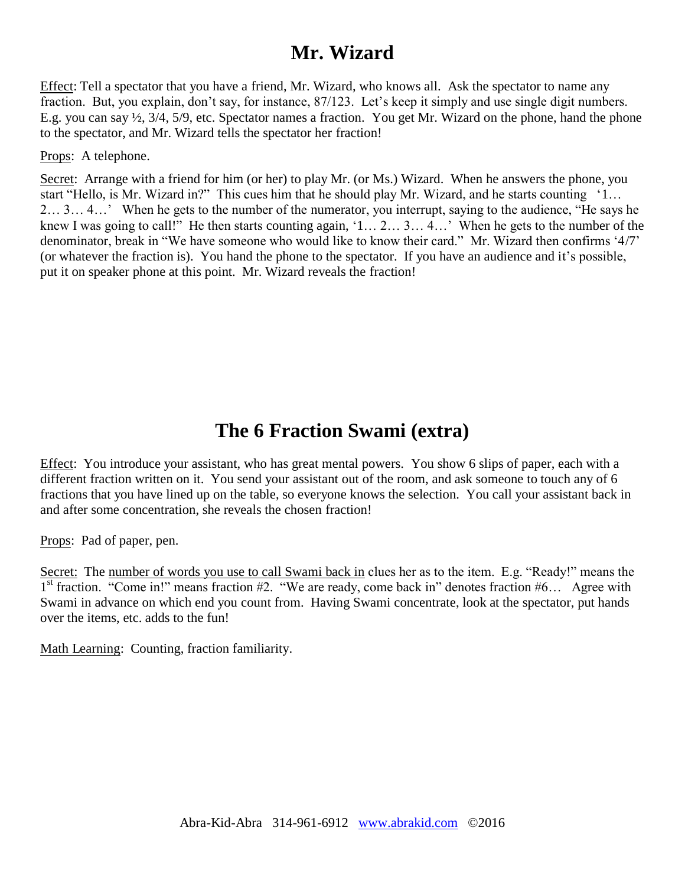### **Mr. Wizard**

Effect: Tell a spectator that you have a friend, Mr. Wizard, who knows all. Ask the spectator to name any fraction. But, you explain, don't say, for instance, 87/123. Let's keep it simply and use single digit numbers. E.g. you can say ½, 3/4, 5/9, etc. Spectator names a fraction. You get Mr. Wizard on the phone, hand the phone to the spectator, and Mr. Wizard tells the spectator her fraction!

Props: A telephone.

Secret: Arrange with a friend for him (or her) to play Mr. (or Ms.) Wizard. When he answers the phone, you start "Hello, is Mr. Wizard in?" This cues him that he should play Mr. Wizard, and he starts counting '1... 2… 3… 4…' When he gets to the number of the numerator, you interrupt, saying to the audience, "He says he knew I was going to call!" He then starts counting again, '1... 2... 3... 4...' When he gets to the number of the denominator, break in "We have someone who would like to know their card." Mr. Wizard then confirms '4/7' (or whatever the fraction is). You hand the phone to the spectator. If you have an audience and it's possible, put it on speaker phone at this point. Mr. Wizard reveals the fraction!

### **The 6 Fraction Swami (extra)**

Effect: You introduce your assistant, who has great mental powers. You show 6 slips of paper, each with a different fraction written on it. You send your assistant out of the room, and ask someone to touch any of 6 fractions that you have lined up on the table, so everyone knows the selection. You call your assistant back in and after some concentration, she reveals the chosen fraction!

Props: Pad of paper, pen.

Secret: The number of words you use to call Swami back in clues her as to the item. E.g. "Ready!" means the  $1<sup>st</sup>$  fraction. "Come in!" means fraction #2. "We are ready, come back in" denotes fraction #6... Agree with Swami in advance on which end you count from. Having Swami concentrate, look at the spectator, put hands over the items, etc. adds to the fun!

Math Learning: Counting, fraction familiarity.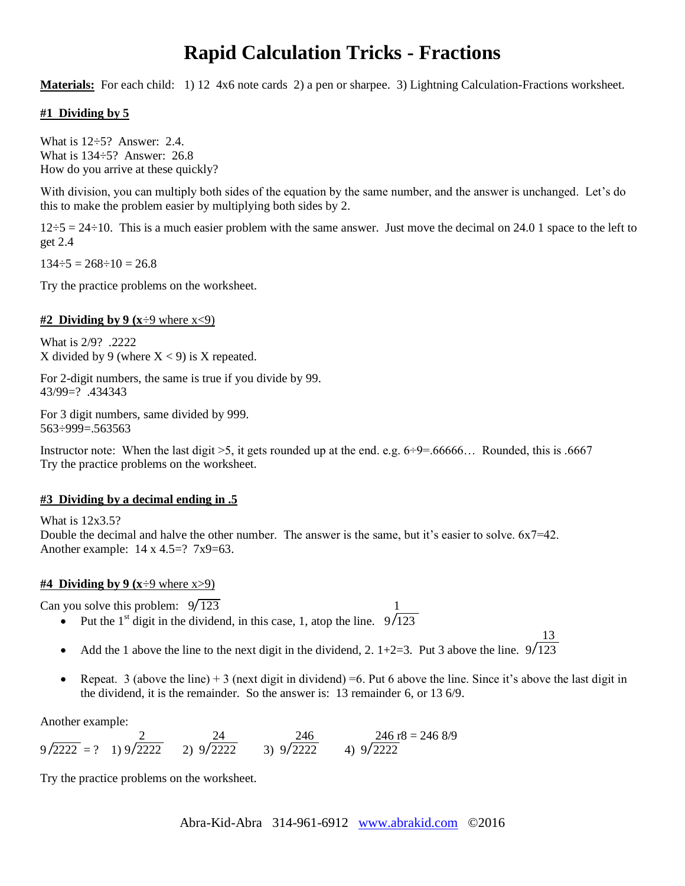### **Rapid Calculation Tricks - Fractions**

**Materials:** For each child: 1) 12 4x6 note cards 2) a pen or sharpee. 3) Lightning Calculation-Fractions worksheet.

#### **#1 Dividing by 5**

What is 12÷5? Answer: 2.4. What is 134÷5? Answer: 26.8 How do you arrive at these quickly?

With division, you can multiply both sides of the equation by the same number, and the answer is unchanged. Let's do this to make the problem easier by multiplying both sides by 2.

 $12\div 5 = 24\div 10$ . This is a much easier problem with the same answer. Just move the decimal on 24.0 1 space to the left to get 2.4

 $134\div 5 = 268\div 10 = 26.8$ 

Try the practice problems on the worksheet.

#### **#2 Dividing by 9 (** $x \div 9$  where  $x \lt 9$ )

What is 2/9? .2222 X divided by 9 (where  $X < 9$ ) is X repeated.

For 2-digit numbers, the same is true if you divide by 99. 43/99=? .434343

For 3 digit numbers, same divided by 999. 563÷999=.563563

Instructor note: When the last digit  $>5$ , it gets rounded up at the end. e.g.  $6\div 9=66666...$  Rounded, this is .6667 Try the practice problems on the worksheet.

#### **#3 Dividing by a decimal ending in .5**

What is 12x3.5? Double the decimal and halve the other number. The answer is the same, but it's easier to solve.  $6x7=42$ . Another example:  $14 \times 4.5 = ?7x9 = 63$ .

#### **#4 Dividing by 9 (x** $\div$ 9 where x $>$ 9)

Can you solve this problem:  $9\sqrt{123}$ 

- Put the 1<sup>st</sup> digit in the dividend, in this case, 1, atop the line.  $9\sqrt{123}$
- Add the 1 above the line to the next digit in the dividend, 2.  $1+2=3$ . Put 3 above the line.  $9\sqrt{123}$

13

Repeat. 3 (above the line)  $+3$  (next digit in dividend) =6. Put 6 above the line. Since it's above the last digit in the dividend, it is the remainder. So the answer is: 13 remainder 6, or 13 6/9.

Another example:

$$
9/2222 = ?
$$
  $1) 9/2222$   $2) 9/2222$   $3) 9/2222$   $4) 9/2222$   $4) 9/2222$ 

Try the practice problems on the worksheet.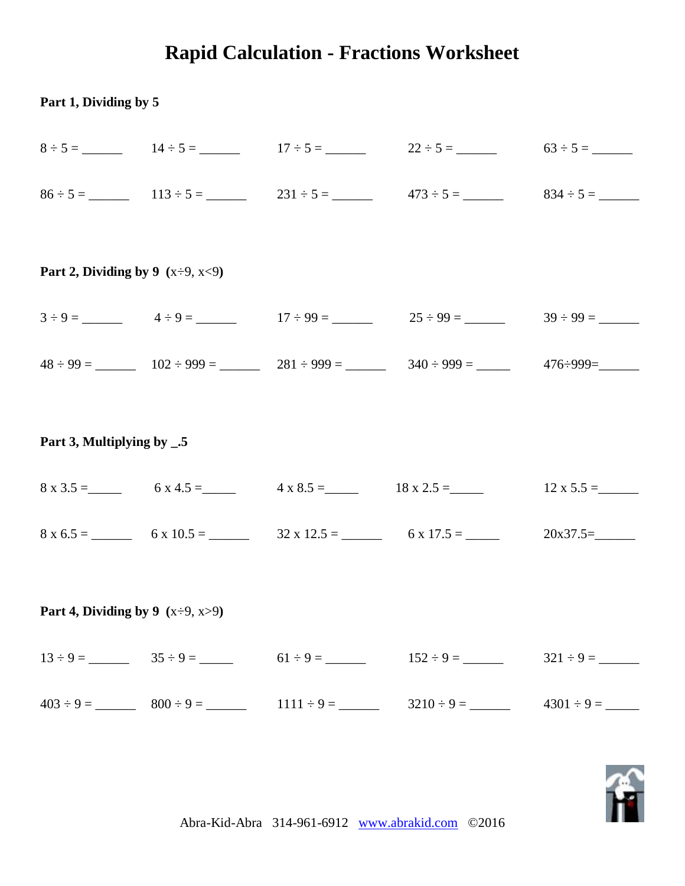# **Rapid Calculation - Fractions Worksheet**

### **Part 1, Dividing by 5**

|  | $8 \div 5 =$ 14 $\div 5 =$ 17 $\div 5 =$ 22 $\div 5 =$ 63 $\div 5 =$ 63 $\div 5 =$ |  |
|--|------------------------------------------------------------------------------------|--|
|  | $86 \div 5 =$ 113 $\div 5 =$ 231 $\div 5 =$ 473 $\div 5 =$ 834 $\div 5 =$ 5        |  |

### **Part 2, Dividing by 9 (**x÷9, x<9**)**

| $3 \div 9 =$   | $4 \div 9 =$     | $17 \div 99 =$   | $25 \div 99 =$   | $39 \div 99 =$ |  |
|----------------|------------------|------------------|------------------|----------------|--|
| $48 \div 99 =$ | $102 \div 999 =$ | $281 \div 999 =$ | $340 \div 999 =$ | 476÷999=       |  |

#### **Part 3, Multiplying by \_.5**

| $8 \times 3.5 =$ | $6x4.5=$          | $4 \times 8.5 =$   | $18 \times 2.5 =$ | $12 \times 5.5 =$ |
|------------------|-------------------|--------------------|-------------------|-------------------|
| $8 \times 6.5 =$ | $6 \times 10.5 =$ | $32 \times 12.5 =$ | $6 \times 17.5 =$ | $20x37.5=$        |

### **Part 4, Dividing by 9 (**x÷9, x>9**)**

|  | $13 \div 9 =$ $35 \div 9 =$ $61 \div 9 =$ $152 \div 9 =$ $321 \div 9 =$ |  |
|--|-------------------------------------------------------------------------|--|
|  |                                                                         |  |

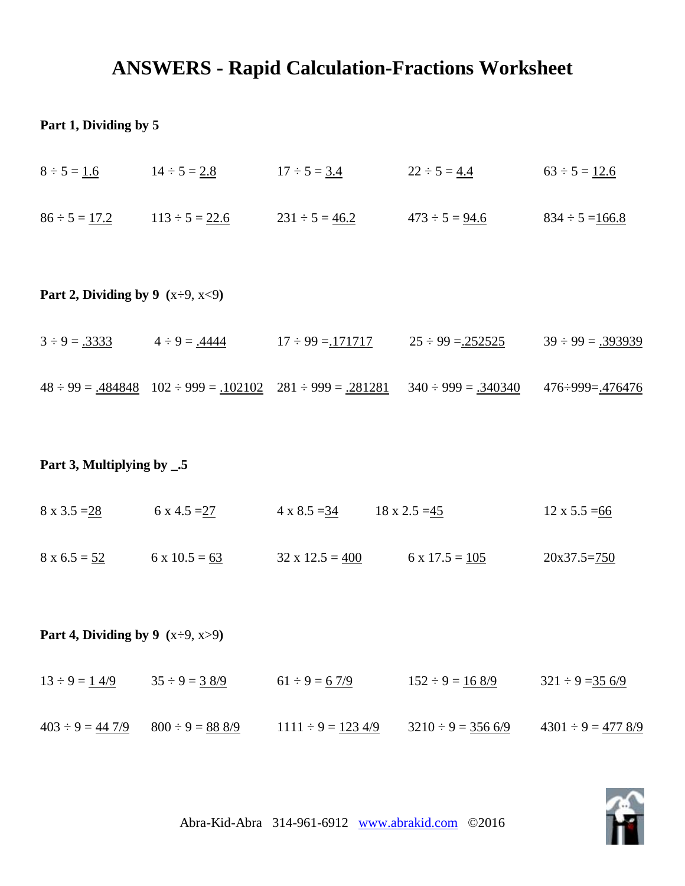### **ANSWERS - Rapid Calculation-Fractions Worksheet**

### **Part 1, Dividing by 5**

| $8 \div 5 = 1.6$                       | $14 \div 5 = 2.8$        | $17 \div 5 = 3.4$        | $22 \div 5 = 4.4$        | $63 \div 5 = 12.6$       |  |  |  |  |  |
|----------------------------------------|--------------------------|--------------------------|--------------------------|--------------------------|--|--|--|--|--|
| $86 \div 5 = 17.2$                     | $113 \div 5 = 22.6$      | $231 \div 5 = 46.2$      | $473 \div 5 = 94.6$      | $834 \div 5 = 166.8$     |  |  |  |  |  |
| Part 2, Dividing by 9 $(x\div 9, x<9)$ |                          |                          |                          |                          |  |  |  |  |  |
| $3 \div 9 = .3333$                     | $4 \div 9 = .4444$       | $17 \div 99 = 171717$    | $25 \div 99 = 252525$    | $39 \div 99 = .393939$   |  |  |  |  |  |
| $48 \div 99 = .484848$                 | $102 \div 999 = .102102$ | $281 \div 999 = .281281$ | $340 \div 999 = .340340$ | $476 \div 999 = .476476$ |  |  |  |  |  |

### **Part 3, Multiplying by \_.5**

| $8 \times 3.5 = 28$ | $6 \times 4.5 = 27$  | $4 \times 8.5 = 34$    | $18 \times 2.5 = 45$  | $12 \times 5.5 = 66$ |
|---------------------|----------------------|------------------------|-----------------------|----------------------|
| $8 \times 6.5 = 52$ | $6 \times 10.5 = 63$ | $32 \times 12.5 = 400$ | $6 \times 17.5 = 105$ | $20x37.5=750$        |

**Part 4, Dividing by 9 (**x÷9, x>9**)** 

| $13 \div 9 = 14/9$     | $35 \div 9 = 38/9$   | $61 \div 9 = 67/9$     | $152 \div 9 = 168/9$   | $321 \div 9 = 356/9$   |
|------------------------|----------------------|------------------------|------------------------|------------------------|
| $403 \div 9 = 44\,7/9$ | $800 \div 9 = 888/9$ | $1111 \div 9 = 1234/9$ | $3210 \div 9 = 3566/9$ | $4301 \div 9 = 4778/9$ |

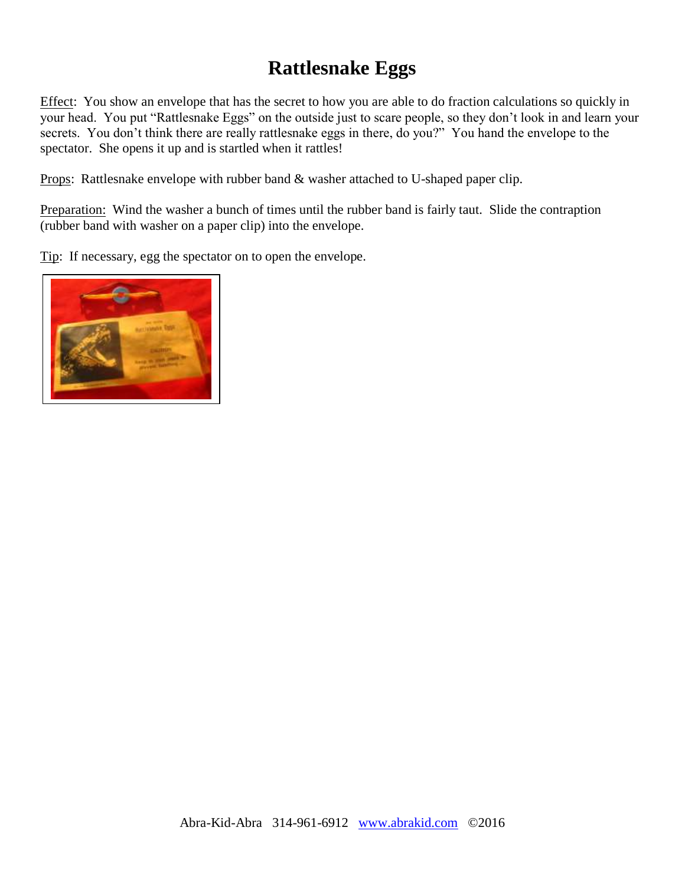# **Rattlesnake Eggs**

Effect: You show an envelope that has the secret to how you are able to do fraction calculations so quickly in your head. You put "Rattlesnake Eggs" on the outside just to scare people, so they don't look in and learn your secrets. You don't think there are really rattlesnake eggs in there, do you?" You hand the envelope to the spectator. She opens it up and is startled when it rattles!

Props: Rattlesnake envelope with rubber band & washer attached to U-shaped paper clip.

Preparation: Wind the washer a bunch of times until the rubber band is fairly taut. Slide the contraption (rubber band with washer on a paper clip) into the envelope.

Tip: If necessary, egg the spectator on to open the envelope.

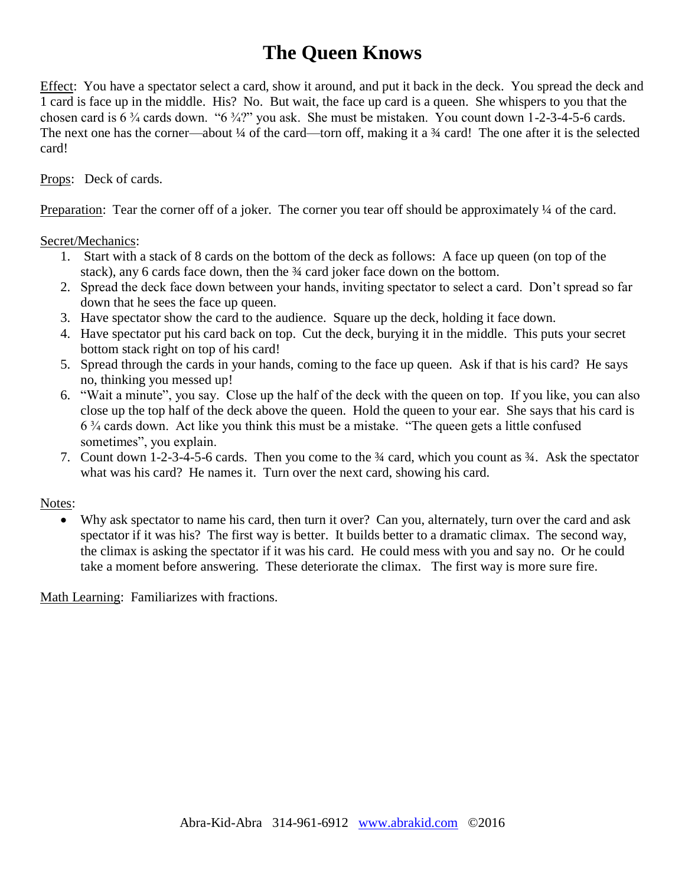# **The Queen Knows**

Effect: You have a spectator select a card, show it around, and put it back in the deck. You spread the deck and 1 card is face up in the middle. His? No. But wait, the face up card is a queen. She whispers to you that the chosen card is 6 ¾ cards down. "6 ¾?" you ask. She must be mistaken. You count down 1-2-3-4-5-6 cards. The next one has the corner—about  $\frac{1}{4}$  of the card—torn off, making it a  $\frac{3}{4}$  card! The one after it is the selected card!

Props: Deck of cards.

Preparation: Tear the corner of f of a joker. The corner you tear off should be approximately ¼ of the card.

Secret/Mechanics:

- 1. Start with a stack of 8 cards on the bottom of the deck as follows: A face up queen (on top of the stack), any 6 cards face down, then the  $\frac{3}{4}$  card joker face down on the bottom.
- 2. Spread the deck face down between your hands, inviting spectator to select a card. Don't spread so far down that he sees the face up queen.
- 3. Have spectator show the card to the audience. Square up the deck, holding it face down.
- 4. Have spectator put his card back on top. Cut the deck, burying it in the middle. This puts your secret bottom stack right on top of his card!
- 5. Spread through the cards in your hands, coming to the face up queen. Ask if that is his card? He says no, thinking you messed up!
- 6. "Wait a minute", you say. Close up the half of the deck with the queen on top. If you like, you can also close up the top half of the deck above the queen. Hold the queen to your ear. She says that his card is 6 ¾ cards down. Act like you think this must be a mistake. "The queen gets a little confused sometimes", you explain.
- 7. Count down 1-2-3-4-5-6 cards. Then you come to the ¾ card, which you count as ¾. Ask the spectator what was his card? He names it. Turn over the next card, showing his card.

#### Notes:

 Why ask spectator to name his card, then turn it over? Can you, alternately, turn over the card and ask spectator if it was his? The first way is better. It builds better to a dramatic climax. The second way, the climax is asking the spectator if it was his card. He could mess with you and say no. Or he could take a moment before answering. These deteriorate the climax. The first way is more sure fire.

Math Learning: Familiarizes with fractions.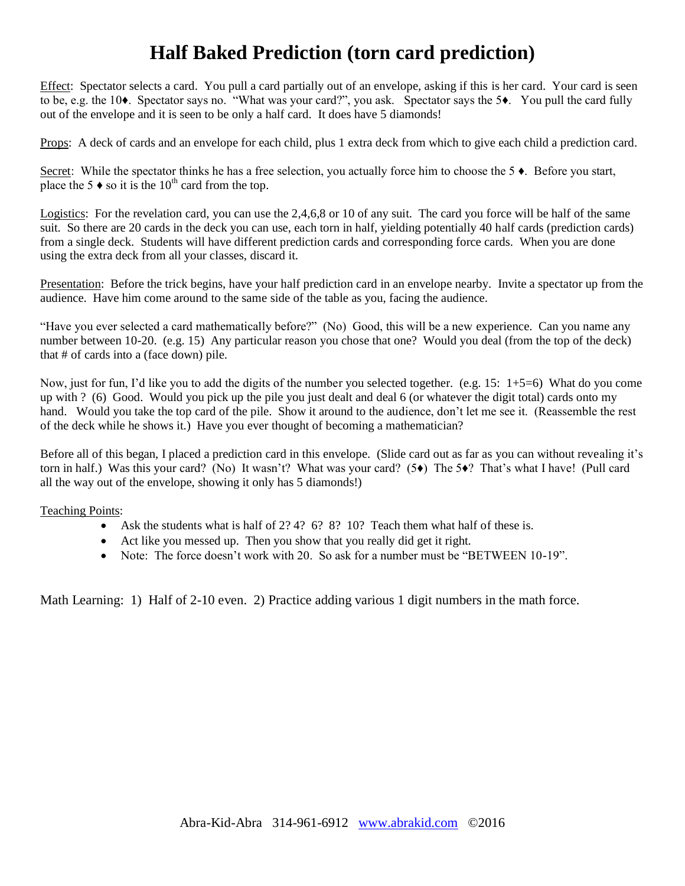# **Half Baked Prediction (torn card prediction)**

Effect: Spectator selects a card. You pull a card partially out of an envelope, asking if this is her card. Your card is seen to be, e.g. the 10♦. Spectator says no. "What was your card?", you ask. Spectator says the 5♦. You pull the card fully out of the envelope and it is seen to be only a half card. It does have 5 diamonds!

Props: A deck of cards and an envelope for each child, plus 1 extra deck from which to give each child a prediction card.

Secret: While the spectator thinks he has a free selection, you actually force him to choose the 5  $\bullet$ . Before you start, place the 5  $\bullet$  so it is the 10<sup>th</sup> card from the top.

Logistics: For the revelation card, you can use the 2,4,6,8 or 10 of any suit. The card you force will be half of the same suit. So there are 20 cards in the deck you can use, each torn in half, yielding potentially 40 half cards (prediction cards) from a single deck. Students will have different prediction cards and corresponding force cards. When you are done using the extra deck from all your classes, discard it.

Presentation: Before the trick begins, have your half prediction card in an envelope nearby. Invite a spectator up from the audience. Have him come around to the same side of the table as you, facing the audience.

"Have you ever selected a card mathematically before?" (No) Good, this will be a new experience. Can you name any number between 10-20. (e.g. 15) Any particular reason you chose that one? Would you deal (from the top of the deck) that # of cards into a (face down) pile.

Now, just for fun, I'd like you to add the digits of the number you selected together. (e.g. 15: 1+5=6) What do you come up with ? (6) Good. Would you pick up the pile you just dealt and deal 6 (or whatever the digit total) cards onto my hand. Would you take the top card of the pile. Show it around to the audience, don't let me see it. (Reassemble the rest of the deck while he shows it.) Have you ever thought of becoming a mathematician?

Before all of this began, I placed a prediction card in this envelope. (Slide card out as far as you can without revealing it's torn in half.) Was this your card? (No) It wasn't? What was your card? (5♦) The 5♦? That's what I have! (Pull card all the way out of the envelope, showing it only has 5 diamonds!)

Teaching Points:

- Ask the students what is half of  $2.242 \div 6.82 \div 10.27$  Teach them what half of these is.
- Act like you messed up. Then you show that you really did get it right.
- Note: The force doesn't work with 20. So ask for a number must be "BETWEEN 10-19".

Math Learning: 1) Half of 2-10 even. 2) Practice adding various 1 digit numbers in the math force.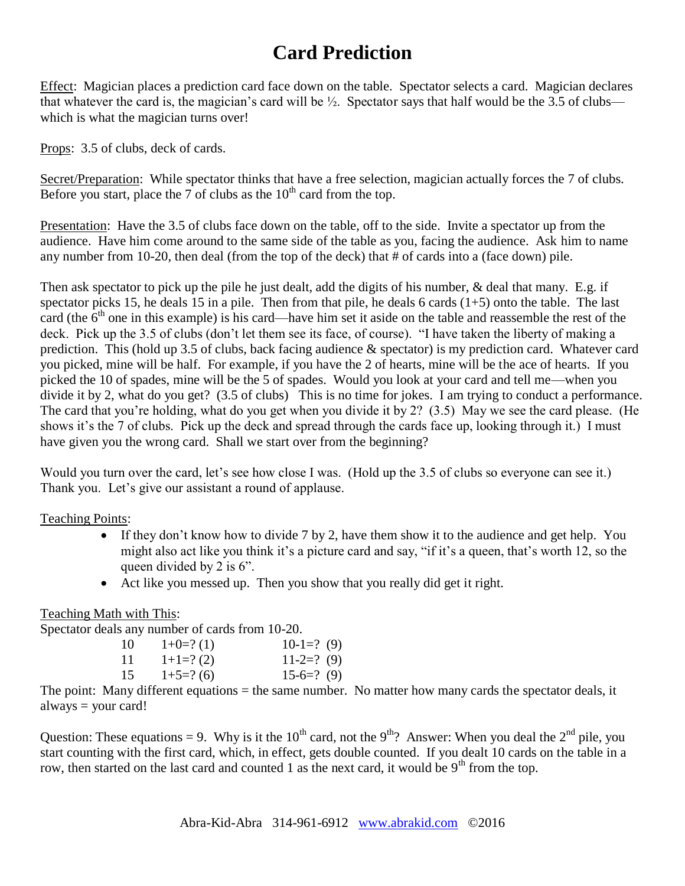# **Card Prediction**

Effect: Magician places a prediction card face down on the table. Spectator selects a card. Magician declares that whatever the card is, the magician's card will be  $\frac{1}{2}$ . Spectator says that half would be the 3.5 of clubs which is what the magician turns over!

Props: 3.5 of clubs, deck of cards.

Secret/Preparation: While spectator thinks that have a free selection, magician actually forces the 7 of clubs. Before you start, place the 7 of clubs as the  $10^{th}$  card from the top.

Presentation: Have the 3.5 of clubs face down on the table, off to the side. Invite a spectator up from the audience. Have him come around to the same side of the table as you, facing the audience. Ask him to name any number from 10-20, then deal (from the top of the deck) that # of cards into a (face down) pile.

Then ask spectator to pick up the pile he just dealt, add the digits of his number, & deal that many. E.g. if spectator picks 15, he deals 15 in a pile. Then from that pile, he deals 6 cards  $(1+5)$  onto the table. The last card (the  $6<sup>th</sup>$  one in this example) is his card—have him set it aside on the table and reassemble the rest of the deck. Pick up the 3.5 of clubs (don't let them see its face, of course). "I have taken the liberty of making a prediction. This (hold up 3.5 of clubs, back facing audience & spectator) is my prediction card. Whatever card you picked, mine will be half. For example, if you have the 2 of hearts, mine will be the ace of hearts. If you picked the 10 of spades, mine will be the 5 of spades. Would you look at your card and tell me—when you divide it by 2, what do you get? (3.5 of clubs) This is no time for jokes. I am trying to conduct a performance. The card that you're holding, what do you get when you divide it by 2? (3.5) May we see the card please. (He shows it's the 7 of clubs. Pick up the deck and spread through the cards face up, looking through it.) I must have given you the wrong card. Shall we start over from the beginning?

Would you turn over the card, let's see how close I was. (Hold up the 3.5 of clubs so everyone can see it.) Thank you. Let's give our assistant a round of applause.

Teaching Points:

- If they don't know how to divide 7 by 2, have them show it to the audience and get help. You might also act like you think it's a picture card and say, "if it's a queen, that's worth 12, so the queen divided by 2 is 6".
- Act like you messed up. Then you show that you really did get it right.

Teaching Math with This:

Spectator deals any number of cards from 10-20.

| 10  | $1+0=?(1)$ | $10-1=?$ (9) |
|-----|------------|--------------|
| -11 | $1+1=?(2)$ | $11-2=?$ (9) |
| 15  | $1+5=?(6)$ | $15-6=?$ (9) |
|     |            |              |

The point: Many different equations = the same number. No matter how many cards the spectator deals, it always = your card!

Question: These equations = 9. Why is it the 10<sup>th</sup> card, not the 9<sup>th</sup>? Answer: When you deal the 2<sup>nd</sup> pile, you start counting with the first card, which, in effect, gets double counted. If you dealt 10 cards on the table in a row, then started on the last card and counted 1 as the next card, it would be  $9<sup>th</sup>$  from the top.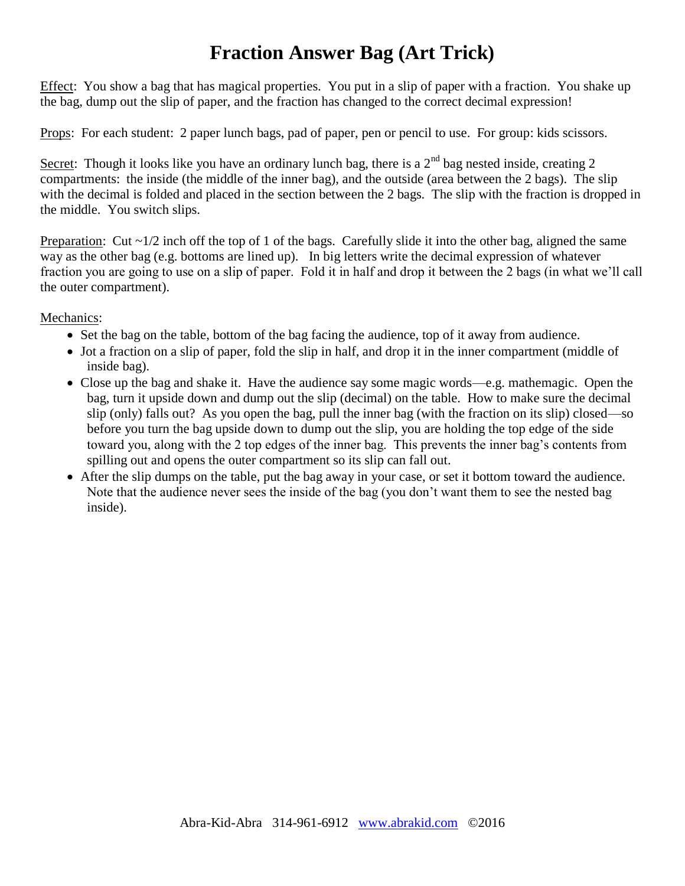# **Fraction Answer Bag (Art Trick)**

Effect: You show a bag that has magical properties. You put in a slip of paper with a fraction. You shake up the bag, dump out the slip of paper, and the fraction has changed to the correct decimal expression!

Props: For each student: 2 paper lunch bags, pad of paper, pen or pencil to use. For group: kids scissors.

Secret: Though it looks like you have an ordinary lunch bag, there is a  $2^{nd}$  bag nested inside, creating 2 compartments: the inside (the middle of the inner bag), and the outside (area between the 2 bags). The slip with the decimal is folded and placed in the section between the 2 bags. The slip with the fraction is dropped in the middle. You switch slips.

Preparation: Cut  $\sim 1/2$  inch off the top of 1 of the bags. Carefully slide it into the other bag, aligned the same way as the other bag (e.g. bottoms are lined up). In big letters write the decimal expression of whatever fraction you are going to use on a slip of paper. Fold it in half and drop it between the 2 bags (in what we'll call the outer compartment).

Mechanics:

- Set the bag on the table, bottom of the bag facing the audience, top of it away from audience.
- Jot a fraction on a slip of paper, fold the slip in half, and drop it in the inner compartment (middle of inside bag).
- Close up the bag and shake it. Have the audience say some magic words—e.g. mathemagic. Open the bag, turn it upside down and dump out the slip (decimal) on the table. How to make sure the decimal slip (only) falls out? As you open the bag, pull the inner bag (with the fraction on its slip) closed—so before you turn the bag upside down to dump out the slip, you are holding the top edge of the side toward you, along with the 2 top edges of the inner bag. This prevents the inner bag's contents from spilling out and opens the outer compartment so its slip can fall out.
- After the slip dumps on the table, put the bag away in your case, or set it bottom toward the audience. Note that the audience never sees the inside of the bag (you don't want them to see the nested bag inside).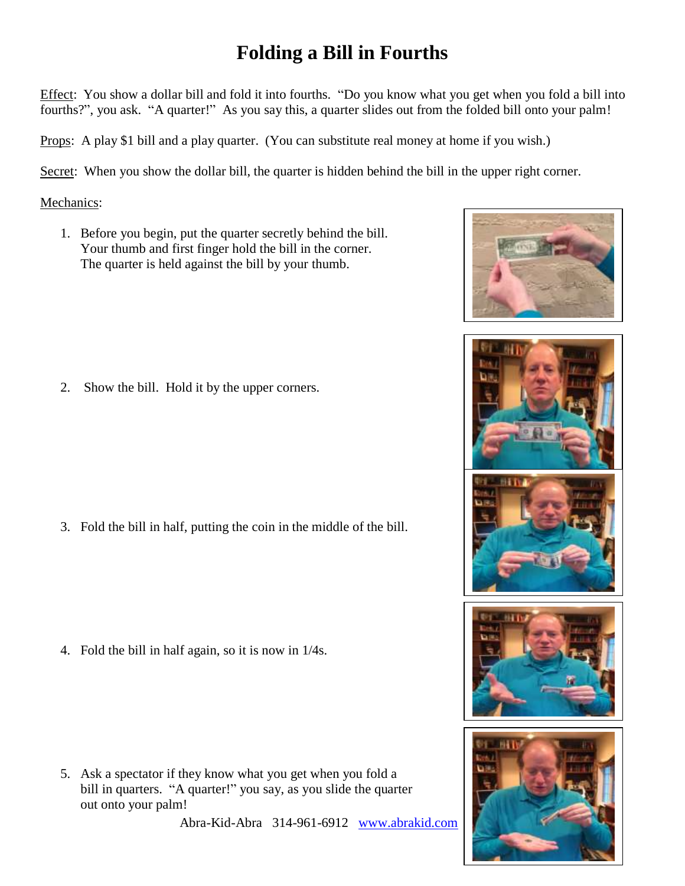# **Folding a Bill in Fourths**

Effect: You show a dollar bill and fold it into fourths. "Do you know what you get when you fold a bill into fourths?", you ask. "A quarter!" As you say this, a quarter slides out from the folded bill onto your palm!

Props: A play \$1 bill and a play quarter. (You can substitute real money at home if you wish.)

Secret: When you show the dollar bill, the quarter is hidden behind the bill in the upper right corner.

#### Mechanics:

1. Before you begin, put the quarter secretly behind the bill. Your thumb and first finger hold the bill in the corner. The quarter is held against the bill by your thumb.

2. Show the bill. Hold it by the upper corners.

3. Fold the bill in half, putting the coin in the middle of the bill.

4. Fold the bill in half again, so it is now in 1/4s.

5. Ask a spectator if they know what you get when you fold a bill in quarters. "A quarter!" you say, as you slide the quarter out onto your palm!

Abra-Kid-Abra 314-961-6912 www.abrakid.com



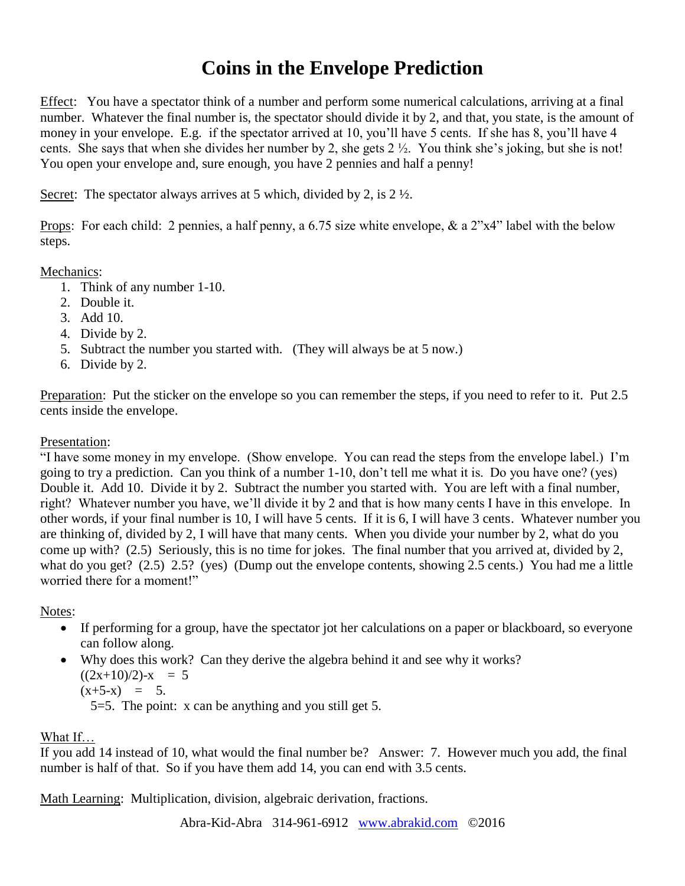# **Coins in the Envelope Prediction**

Effect: You have a spectator think of a number and perform some numerical calculations, arriving at a final number. Whatever the final number is, the spectator should divide it by 2, and that, you state, is the amount of money in your envelope. E.g. if the spectator arrived at 10, you'll have 5 cents. If she has 8, you'll have 4 cents. She says that when she divides her number by 2, she gets 2 ½. You think she's joking, but she is not! You open your envelope and, sure enough, you have 2 pennies and half a penny!

Secret: The spectator always arrives at 5 which, divided by 2, is  $2 \frac{1}{2}$ .

Props: For each child: 2 pennies, a half penny, a 6.75 size white envelope, & a 2"x4" label with the below steps.

Mechanics:

- 1. Think of any number 1-10.
- 2. Double it.
- 3. Add 10.
- 4. Divide by 2.
- 5. Subtract the number you started with. (They will always be at 5 now.)
- 6. Divide by 2.

Preparation: Put the sticker on the envelope so you can remember the steps, if you need to refer to it. Put 2.5 cents inside the envelope.

Presentation:

"I have some money in my envelope. (Show envelope. You can read the steps from the envelope label.) I'm going to try a prediction. Can you think of a number 1-10, don't tell me what it is. Do you have one? (yes) Double it. Add 10. Divide it by 2. Subtract the number you started with. You are left with a final number, right? Whatever number you have, we'll divide it by 2 and that is how many cents I have in this envelope. In other words, if your final number is 10, I will have 5 cents. If it is 6, I will have 3 cents. Whatever number you are thinking of, divided by 2, I will have that many cents. When you divide your number by 2, what do you come up with? (2.5) Seriously, this is no time for jokes. The final number that you arrived at, divided by 2, what do you get? (2.5) 2.5? (yes) (Dump out the envelope contents, showing 2.5 cents.) You had me a little worried there for a moment!"

Notes:

- If performing for a group, have the spectator jot her calculations on a paper or blackboard, so everyone can follow along.
- Why does this work? Can they derive the algebra behind it and see why it works?  $((2x+10)/2)$ -x = 5  $(x+5-x) = 5.$ 5=5. The point: x can be anything and you still get 5.

What If…

If you add 14 instead of 10, what would the final number be? Answer: 7. However much you add, the final number is half of that. So if you have them add 14, you can end with 3.5 cents.

Math Learning: Multiplication, division, algebraic derivation, fractions.

Abra-Kid-Abra 314-961-6912 [www.abrakid.com](http://www.abrakid.com/) ©2016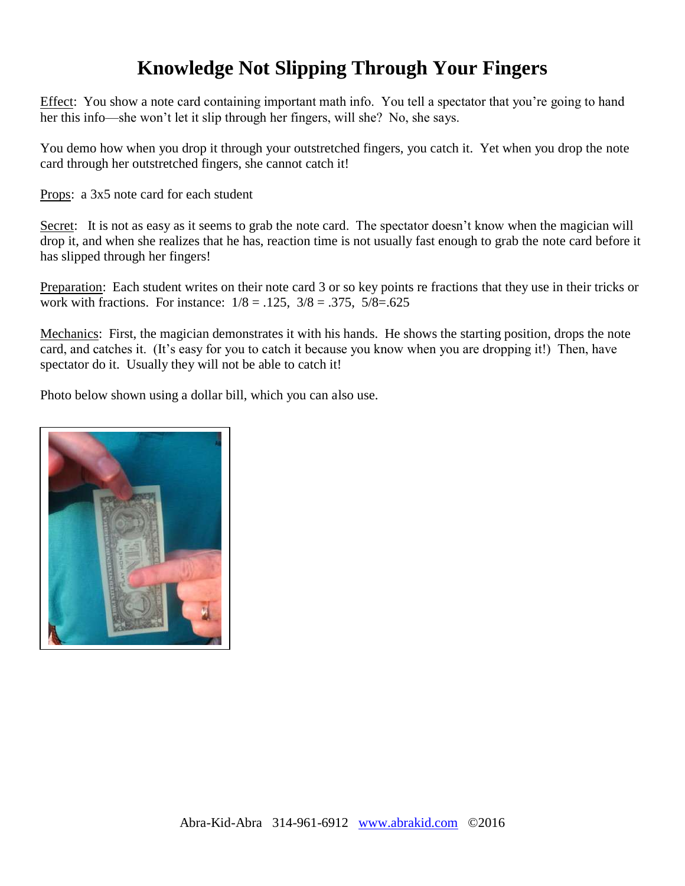# **Knowledge Not Slipping Through Your Fingers**

Effect: You show a note card containing important math info. You tell a spectator that you're going to hand her this info—she won't let it slip through her fingers, will she? No, she says.

You demo how when you drop it through your outstretched fingers, you catch it. Yet when you drop the note card through her outstretched fingers, she cannot catch it!

Props: a 3x5 note card for each student

Secret: It is not as easy as it seems to grab the note card. The spectator doesn't know when the magician will drop it, and when she realizes that he has, reaction time is not usually fast enough to grab the note card before it has slipped through her fingers!

Preparation: Each student writes on their note card 3 or so key points re fractions that they use in their tricks or work with fractions. For instance:  $1/8 = .125$ ,  $3/8 = .375$ ,  $5/8 = .625$ 

Mechanics: First, the magician demonstrates it with his hands. He shows the starting position, drops the note card, and catches it. (It's easy for you to catch it because you know when you are dropping it!) Then, have spectator do it. Usually they will not be able to catch it!

Photo below shown using a dollar bill, which you can also use.

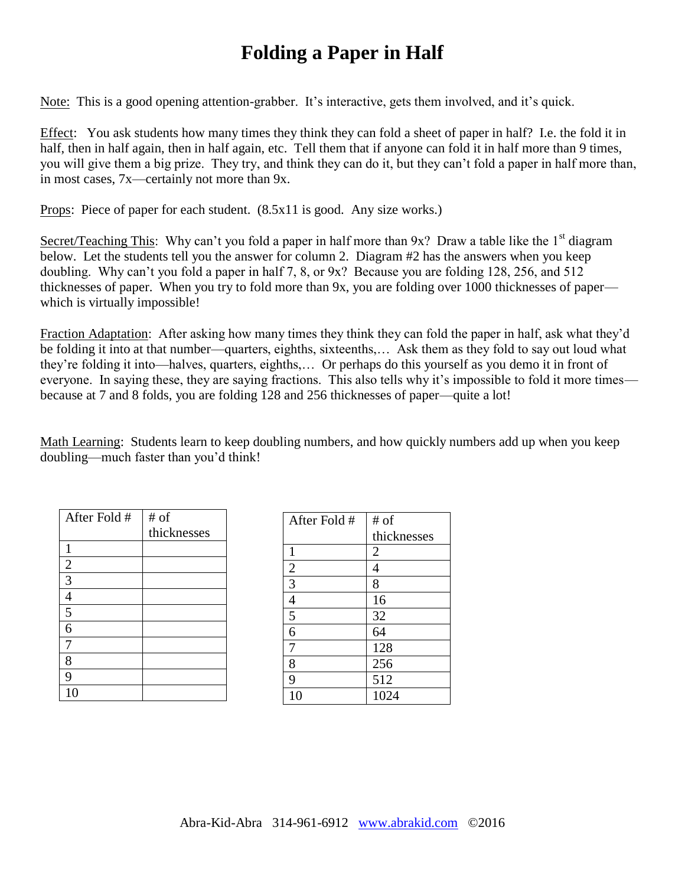# **Folding a Paper in Half**

Note: This is a good opening attention-grabber. It's interactive, gets them involved, and it's quick.

Effect: You ask students how many times they think they can fold a sheet of paper in half? I.e. the fold it in half, then in half again, then in half again, etc. Tell them that if anyone can fold it in half more than 9 times, you will give them a big prize. They try, and think they can do it, but they can't fold a paper in half more than, in most cases, 7x—certainly not more than 9x.

Props: Piece of paper for each student. (8.5x11 is good. Any size works.)

Secret/Teaching This: Why can't you fold a paper in half more than  $9x$ ? Draw a table like the 1<sup>st</sup> diagram below. Let the students tell you the answer for column 2. Diagram #2 has the answers when you keep doubling. Why can't you fold a paper in half 7, 8, or 9x? Because you are folding 128, 256, and 512 thicknesses of paper. When you try to fold more than 9x, you are folding over 1000 thicknesses of paper which is virtually impossible!

Fraction Adaptation: After asking how many times they think they can fold the paper in half, ask what they'd be folding it into at that number—quarters, eighths, sixteenths,… Ask them as they fold to say out loud what they're folding it into—halves, quarters, eighths,… Or perhaps do this yourself as you demo it in front of everyone. In saying these, they are saying fractions. This also tells why it's impossible to fold it more times because at 7 and 8 folds, you are folding 128 and 256 thicknesses of paper—quite a lot!

Math Learning: Students learn to keep doubling numbers, and how quickly numbers add up when you keep doubling—much faster than you'd think!

| After Fold #   | # of        |
|----------------|-------------|
|                | thicknesses |
| 1              |             |
|                |             |
| $\frac{2}{3}$  |             |
| $\overline{4}$ |             |
| $\overline{5}$ |             |
| 6              |             |
| 7              |             |
| 8              |             |
| 9              |             |
|                |             |

| After Fold #   | # of           |
|----------------|----------------|
|                | thicknesses    |
| $\mathbf{1}$   | $\overline{c}$ |
| $\mathfrak{2}$ | 4              |
| $\overline{3}$ | 8              |
| $\overline{4}$ | 16             |
| 5              | 32             |
| 6              | 64             |
| 7              | 128            |
| 8              | 256            |
| 9              | 512            |
| 10             | 1024           |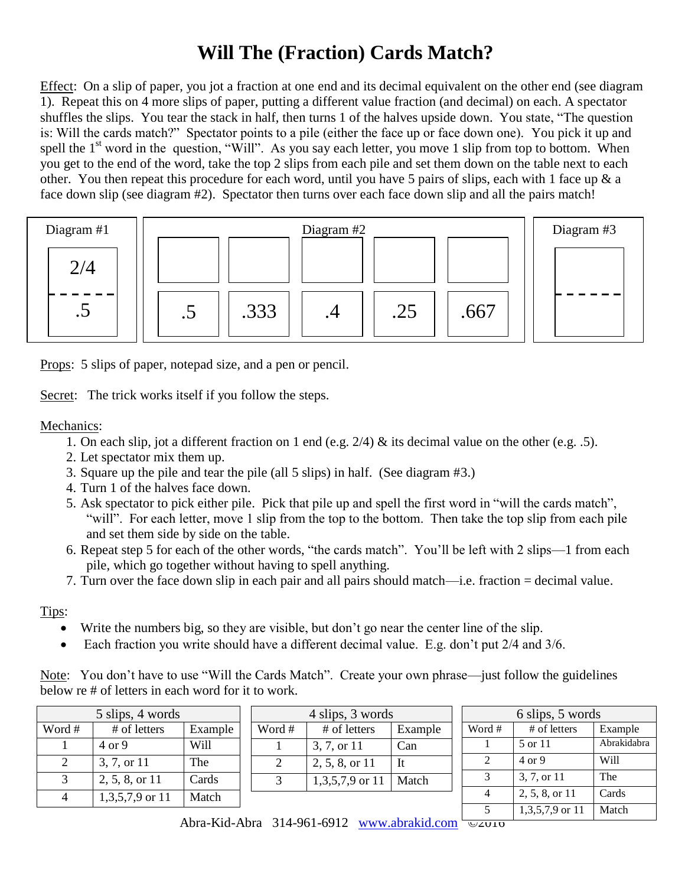# **Will The (Fraction) Cards Match?**

Effect: On a slip of paper, you jot a fraction at one end and its decimal equivalent on the other end (see diagram 1). Repeat this on 4 more slips of paper, putting a different value fraction (and decimal) on each. A spectator shuffles the slips. You tear the stack in half, then turns 1 of the halves upside down. You state, "The question is: Will the cards match?" Spectator points to a pile (either the face up or face down one). You pick it up and spell the  $1<sup>st</sup>$  word in the question, "Will". As you say each letter, you move 1 slip from top to bottom. When you get to the end of the word, take the top 2 slips from each pile and set them down on the table next to each other. You then repeat this procedure for each word, until you have 5 pairs of slips, each with 1 face up & a face down slip (see diagram #2). Spectator then turns over each face down slip and all the pairs match!



Props: 5 slips of paper, notepad size, and a pen or pencil.

Secret: The trick works itself if you follow the steps.

Mechanics:

- 1. On each slip, jot a different fraction on 1 end (e.g. 2/4) & its decimal value on the other (e.g. .5).
- 2. Let spectator mix them up.
- 3. Square up the pile and tear the pile (all 5 slips) in half. (See diagram #3.)
- 4. Turn 1 of the halves face down.
- 5. Ask spectator to pick either pile. Pick that pile up and spell the first word in "will the cards match", "will". For each letter, move 1 slip from the top to the bottom. Then take the top slip from each pile and set them side by side on the table.
- 6. Repeat step 5 for each of the other words, "the cards match". You'll be left with 2 slips—1 from each pile, which go together without having to spell anything.
- 7. Turn over the face down slip in each pair and all pairs should match—i.e. fraction = decimal value.

Tips:

- Write the numbers big, so they are visible, but don't go near the center line of the slip.
- Each fraction you write should have a different decimal value. E.g. don't put 2/4 and 3/6.

Note: You don't have to use "Will the Cards Match". Create your own phrase—just follow the guidelines below re # of letters in each word for it to work.

| 5 slips, 4 words |                   |         | 4 slips, 3 words |                   |         | 6 slips, 5 words |  |                   |             |
|------------------|-------------------|---------|------------------|-------------------|---------|------------------|--|-------------------|-------------|
| Word #           | # of letters      | Example | Word #           | # of letters      | Example | Word #           |  | # of letters      | Example     |
|                  | $4 \text{ or } 9$ | Will    |                  | 3, 7, or 11       | Can     |                  |  | 5 or 11           | Abrakidabra |
|                  | 3, 7, or 11       | The     |                  | 2, 5, 8, or 11    | It      |                  |  | $4 \text{ or } 9$ | Will        |
|                  | 2, 5, 8, or 11    | Cards   |                  | $1,3,5,7,9$ or 11 | Match   |                  |  | 3, 7, or 11       | The         |
|                  | $1,3,5,7,9$ or 11 | Match   |                  |                   |         |                  |  | 2, 5, 8, or 11    | Cards       |
|                  |                   |         |                  |                   |         |                  |  | $1,3,5,7,9$ or 11 | Match       |

Abra-Kid-Abra 314-961-6912 www.abrakid.com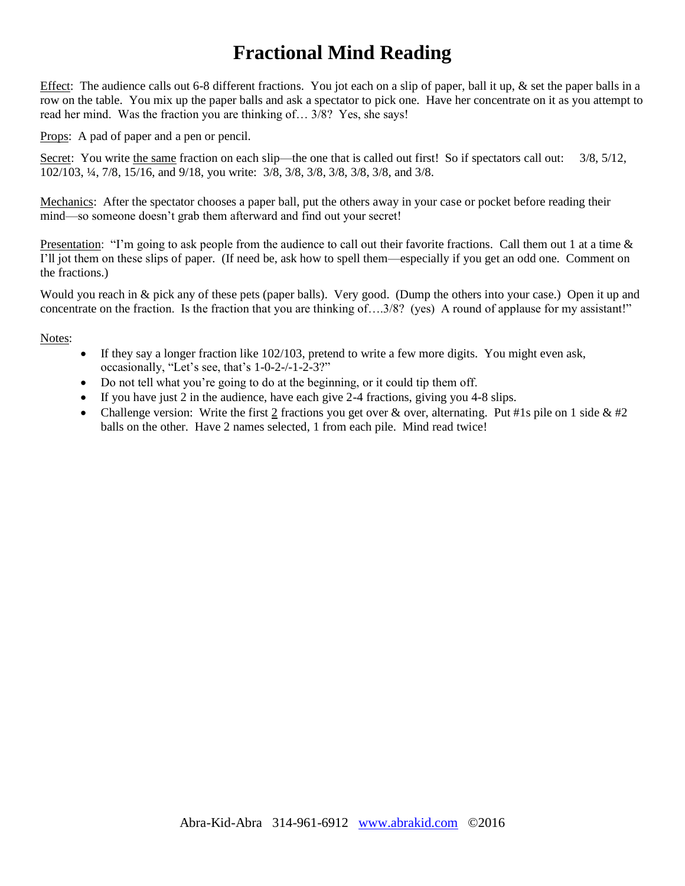# **Fractional Mind Reading**

Effect: The audience calls out 6-8 different fractions. You jot each on a slip of paper, ball it up, & set the paper balls in a row on the table. You mix up the paper balls and ask a spectator to pick one. Have her concentrate on it as you attempt to read her mind. Was the fraction you are thinking of… 3/8? Yes, she says!

Props: A pad of paper and a pen or pencil.

Secret: You write the same fraction on each slip—the one that is called out first! So if spectators call out:  $3/8$ ,  $5/12$ , 102/103, ¼, 7/8, 15/16, and 9/18, you write: 3/8, 3/8, 3/8, 3/8, 3/8, 3/8, and 3/8.

Mechanics: After the spectator chooses a paper ball, put the others away in your case or pocket before reading their mind—so someone doesn't grab them afterward and find out your secret!

Presentation: "I'm going to ask people from the audience to call out their favorite fractions. Call them out 1 at a time  $\&$ I'll jot them on these slips of paper. (If need be, ask how to spell them—especially if you get an odd one. Comment on the fractions.)

Would you reach in & pick any of these pets (paper balls). Very good. (Dump the others into your case.) Open it up and concentrate on the fraction. Is the fraction that you are thinking of….3/8? (yes) A round of applause for my assistant!"

#### Notes:

- $\bullet$  If they say a longer fraction like 102/103, pretend to write a few more digits. You might even ask, occasionally, "Let's see, that's 1-0-2-/-1-2-3?"
- Do not tell what you're going to do at the beginning, or it could tip them off.
- If you have just 2 in the audience, have each give  $2-4$  fractions, giving you  $4-8$  slips.
- Challenge version: Write the first 2 fractions you get over & over, alternating. Put #1s pile on 1 side  $& 42$ balls on the other. Have 2 names selected, 1 from each pile. Mind read twice!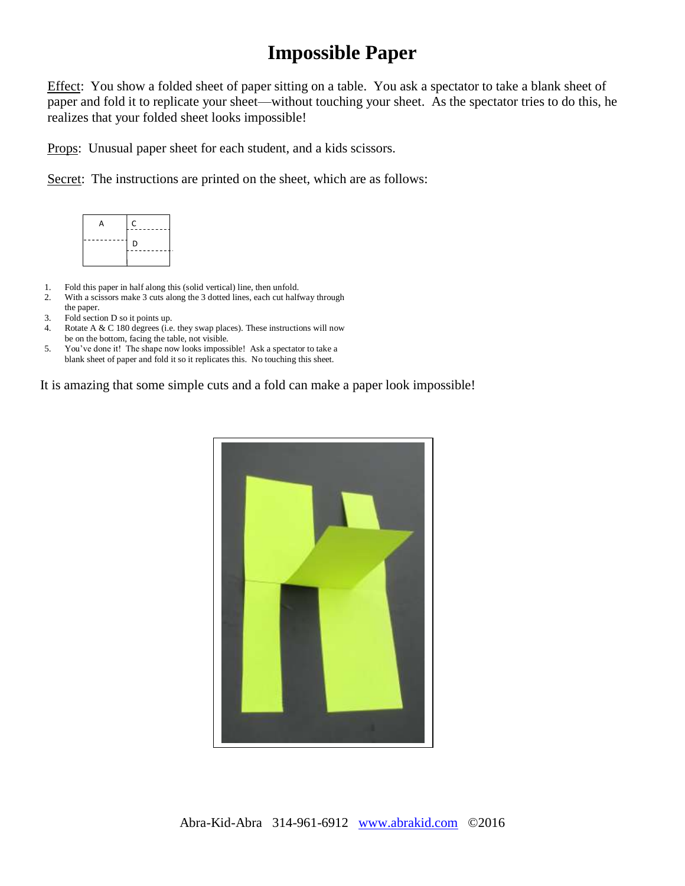### **Impossible Paper**

Effect: You show a folded sheet of paper sitting on a table. You ask a spectator to take a blank sheet of paper and fold it to replicate your sheet—without touching your sheet. As the spectator tries to do this, he realizes that your folded sheet looks impossible!

Props: Unusual paper sheet for each student, and a kids scissors.

Secret: The instructions are printed on the sheet, which are as follows:



- 1. Fold this paper in half along this (solid vertical) line, then unfold.
- 2. With a scissors make 3 cuts along the 3 dotted lines, each cut halfway through the paper.
- 3. Fold section D so it points up.
- 4. Rotate A & C 180 degrees (i.e. they swap places). These instructions will now be on the bottom, facing the table, not visible.
- 5. You've done it! The shape now looks impossible! Ask a spectator to take a blank sheet of paper and fold it so it replicates this. No touching this sheet.

It is amazing that some simple cuts and a fold can make a paper look impossible!

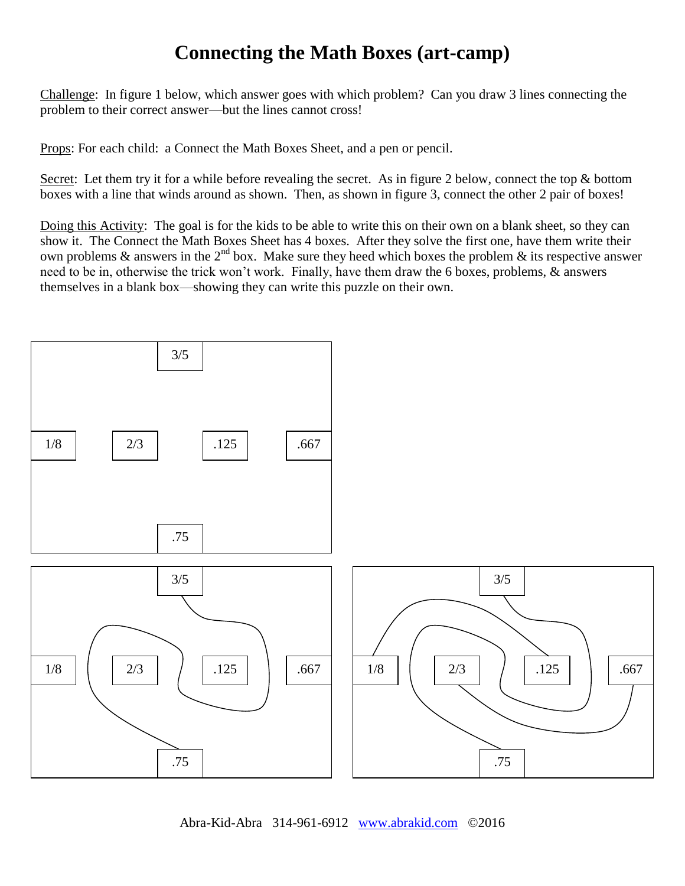### **Connecting the Math Boxes (art-camp)**

Challenge: In figure 1 below, which answer goes with which problem? Can you draw 3 lines connecting the problem to their correct answer—but the lines cannot cross!

Props: For each child: a Connect the Math Boxes Sheet, and a pen or pencil.

Secret: Let them try it for a while before revealing the secret. As in figure 2 below, connect the top & bottom boxes with a line that winds around as shown. Then, as shown in figure 3, connect the other 2 pair of boxes!

Doing this Activity: The goal is for the kids to be able to write this on their own on a blank sheet, so they can show it. The Connect the Math Boxes Sheet has 4 boxes. After they solve the first one, have them write their own problems  $\&$  answers in the 2<sup>nd</sup> box. Make sure they heed which boxes the problem  $\&$  its respective answer need to be in, otherwise the trick won't work. Finally, have them draw the 6 boxes, problems, & answers themselves in a blank box—showing they can write this puzzle on their own.



Abra-Kid-Abra 314-961-6912 [www.abrakid.com](http://www.abrakid.com/) ©2016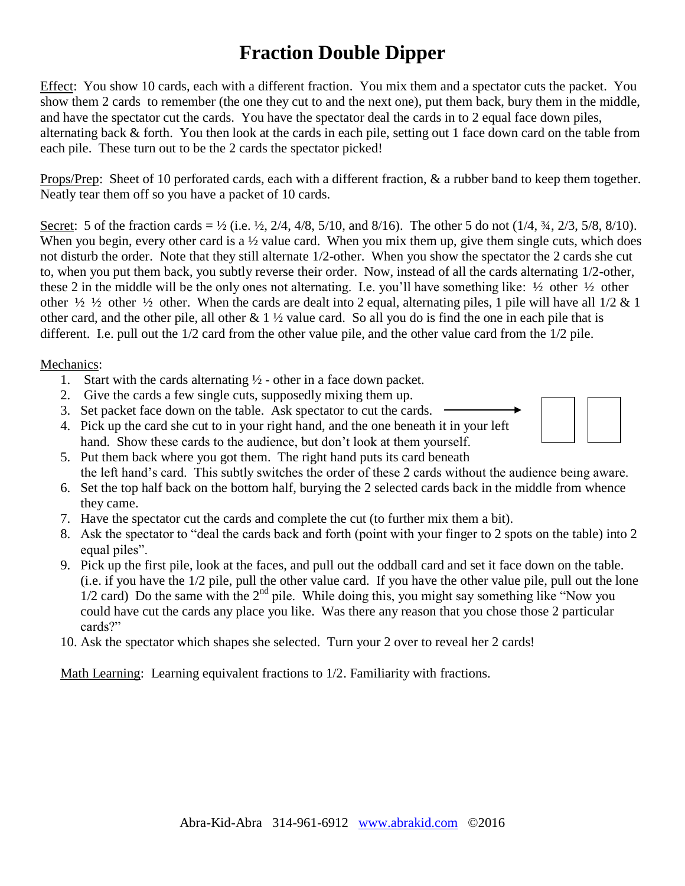# **Fraction Double Dipper**

Effect: You show 10 cards, each with a different fraction. You mix them and a spectator cuts the packet. You show them 2 cards to remember (the one they cut to and the next one), put them back, bury them in the middle, and have the spectator cut the cards. You have the spectator deal the cards in to 2 equal face down piles, alternating back & forth. You then look at the cards in each pile, setting out 1 face down card on the table from each pile. These turn out to be the 2 cards the spectator picked!

Props/Prep: Sheet of 10 perforated cards, each with a different fraction,  $\&$  a rubber band to keep them together. Neatly tear them off so you have a packet of 10 cards.

Secret: 5 of the fraction cards =  $\frac{1}{2}$  (i.e.  $\frac{1}{2}$ , 2/4, 4/8, 5/10, and 8/16). The other 5 do not (1/4,  $\frac{3}{4}$ , 2/3, 5/8, 8/10). When you begin, every other card is a  $\frac{1}{2}$  value card. When you mix them up, give them single cuts, which does not disturb the order. Note that they still alternate 1/2-other. When you show the spectator the 2 cards she cut to, when you put them back, you subtly reverse their order. Now, instead of all the cards alternating 1/2-other, these 2 in the middle will be the only ones not alternating. I.e. you'll have something like:  $\frac{1}{2}$  other  $\frac{1}{2}$  other other  $\frac{1}{2}$   $\frac{1}{2}$  other  $\frac{1}{2}$  other. When the cards are dealt into 2 equal, alternating piles, 1 pile will have all  $\frac{1}{2}$  & 1 other card, and the other pile, all other & 1 ½ value card. So all you do is find the one in each pile that is different. I.e. pull out the 1/2 card from the other value pile, and the other value card from the 1/2 pile.

#### Mechanics:

- 1. Start with the cards alternating  $\frac{1}{2}$  other in a face down packet.
- 2. Give the cards a few single cuts, supposedly mixing them up.
- 3. Set packet face down on the table. Ask spectator to cut the cards.
- 4. Pick up the card she cut to in your right hand, and the one beneath it in your left hand. Show these cards to the audience, but don't look at them yourself.
- 5. Put them back where you got them. The right hand puts its card beneath the left hand's card. This subtly switches the order of these 2 cards without the audience being aware.
- 6. Set the top half back on the bottom half, burying the 2 selected cards back in the middle from whence they came.
- 7. Have the spectator cut the cards and complete the cut (to further mix them a bit).
- 8. Ask the spectator to "deal the cards back and forth (point with your finger to 2 spots on the table) into 2 equal piles".
- 9. Pick up the first pile, look at the faces, and pull out the oddball card and set it face down on the table. (i.e. if you have the 1/2 pile, pull the other value card. If you have the other value pile, pull out the lone  $1/2$  card) Do the same with the  $2<sup>nd</sup>$  pile. While doing this, you might say something like "Now you could have cut the cards any place you like. Was there any reason that you chose those 2 particular cards?"
- 10. Ask the spectator which shapes she selected. Turn your 2 over to reveal her 2 cards!

Math Learning: Learning equivalent fractions to 1/2. Familiarity with fractions.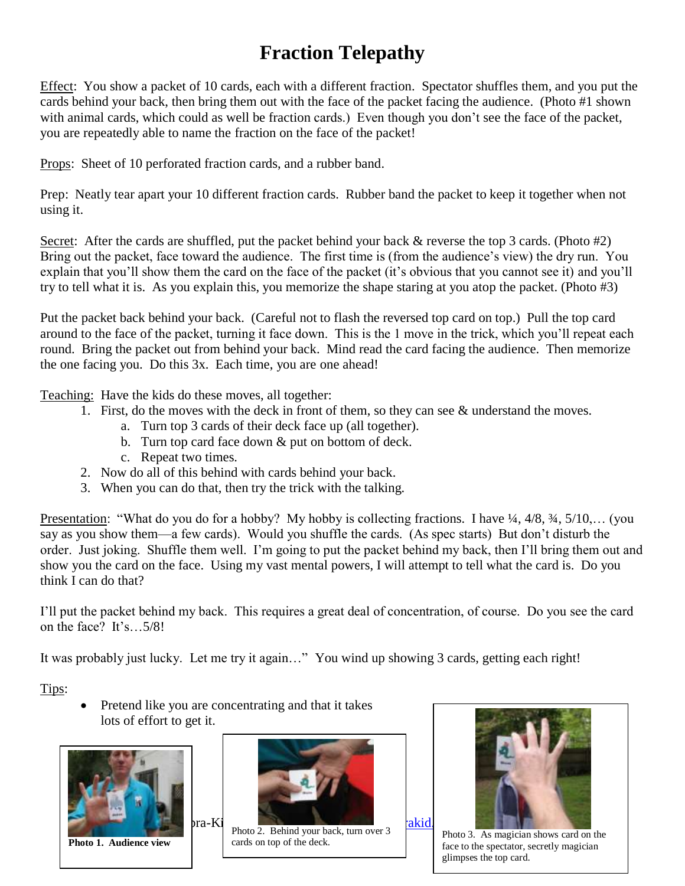# **Fraction Telepathy**

Effect: You show a packet of 10 cards, each with a different fraction. Spectator shuffles them, and you put the cards behind your back, then bring them out with the face of the packet facing the audience. (Photo #1 shown with animal cards, which could as well be fraction cards.) Even though you don't see the face of the packet, you are repeatedly able to name the fraction on the face of the packet!

Props: Sheet of 10 perforated fraction cards, and a rubber band.

Prep: Neatly tear apart your 10 different fraction cards. Rubber band the packet to keep it together when not using it.

Secret: After the cards are shuffled, put the packet behind your back  $\&$  reverse the top 3 cards. (Photo #2) Bring out the packet, face toward the audience. The first time is (from the audience's view) the dry run. You explain that you'll show them the card on the face of the packet (it's obvious that you cannot see it) and you'll try to tell what it is. As you explain this, you memorize the shape staring at you atop the packet. (Photo #3)

Put the packet back behind your back. (Careful not to flash the reversed top card on top.) Pull the top card around to the face of the packet, turning it face down. This is the 1 move in the trick, which you'll repeat each round. Bring the packet out from behind your back. Mind read the card facing the audience. Then memorize the one facing you. Do this 3x. Each time, you are one ahead!

Teaching: Have the kids do these moves, all together:

- 1. First, do the moves with the deck in front of them, so they can see & understand the moves.
	- a. Turn top 3 cards of their deck face up (all together).
	- b. Turn top card face down & put on bottom of deck.
		- c. Repeat two times.
- 2. Now do all of this behind with cards behind your back.
- 3. When you can do that, then try the trick with the talking.

Presentation: "What do you do for a hobby? My hobby is collecting fractions. I have  $\frac{1}{4}$ ,  $\frac{4}{8}$ ,  $\frac{3}{4}$ ,  $\frac{5}{10}$ ,... (you say as you show them—a few cards). Would you shuffle the cards. (As spec starts) But don't disturb the order. Just joking. Shuffle them well. I'm going to put the packet behind my back, then I'll bring them out and show you the card on the face. Using my vast mental powers, I will attempt to tell what the card is. Do you think I can do that?

I'll put the packet behind my back. This requires a great deal of concentration, of course. Do you see the card on the face? It's…5/8!

It was probably just lucky. Let me try it again…" You wind up showing 3 cards, getting each right!

Tips:

 Pretend like you are concentrating and that it takes lots of effort to get it.



**Photo 1. Audience view**



Abra-Kid-Abra 314-961-6912 [www.abrakid.com](http://www.abrakid.com/) ©2016 Photo 2. Behind your back, turn over 3 cards on top of the deck.



Photo 3. As magician shows card on the face to the spectator, secretly magician glimpses the top card.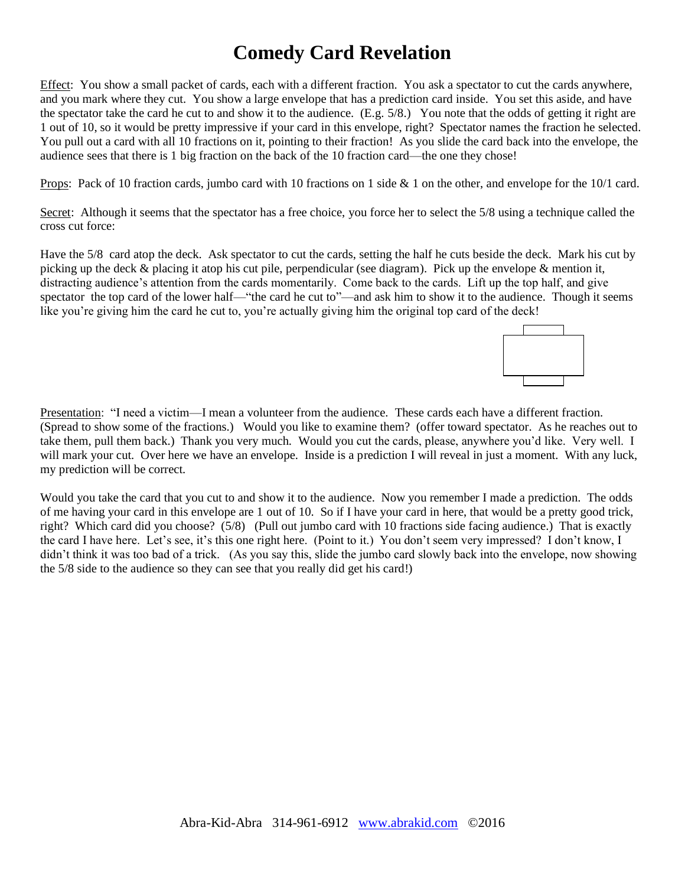# **Comedy Card Revelation**

Effect: You show a small packet of cards, each with a different fraction. You ask a spectator to cut the cards anywhere, and you mark where they cut. You show a large envelope that has a prediction card inside. You set this aside, and have the spectator take the card he cut to and show it to the audience. (E.g. 5/8.) You note that the odds of getting it right are 1 out of 10, so it would be pretty impressive if your card in this envelope, right? Spectator names the fraction he selected. You pull out a card with all 10 fractions on it, pointing to their fraction! As you slide the card back into the envelope, the audience sees that there is 1 big fraction on the back of the 10 fraction card—the one they chose!

Props: Pack of 10 fraction cards, jumbo card with 10 fractions on 1 side & 1 on the other, and envelope for the 10/1 card.

Secret: Although it seems that the spectator has a free choice, you force her to select the 5/8 using a technique called the cross cut force:

Have the 5/8 card atop the deck. Ask spectator to cut the cards, setting the half he cuts beside the deck. Mark his cut by picking up the deck & placing it atop his cut pile, perpendicular (see diagram). Pick up the envelope & mention it, distracting audience's attention from the cards momentarily. Come back to the cards. Lift up the top half, and give spectator the top card of the lower half—"the card he cut to"—and ask him to show it to the audience. Though it seems like you're giving him the card he cut to, you're actually giving him the original top card of the deck!



Presentation: "I need a victim—I mean a volunteer from the audience. These cards each have a different fraction. (Spread to show some of the fractions.) Would you like to examine them? (offer toward spectator. As he reaches out to take them, pull them back.) Thank you very much. Would you cut the cards, please, anywhere you'd like. Very well. I will mark your cut. Over here we have an envelope. Inside is a prediction I will reveal in just a moment. With any luck, my prediction will be correct.

Would you take the card that you cut to and show it to the audience. Now you remember I made a prediction. The odds of me having your card in this envelope are 1 out of 10. So if I have your card in here, that would be a pretty good trick, right? Which card did you choose? (5/8) (Pull out jumbo card with 10 fractions side facing audience.) That is exactly the card I have here. Let's see, it's this one right here. (Point to it.) You don't seem very impressed? I don't know, I didn't think it was too bad of a trick. (As you say this, slide the jumbo card slowly back into the envelope, now showing the 5/8 side to the audience so they can see that you really did get his card!)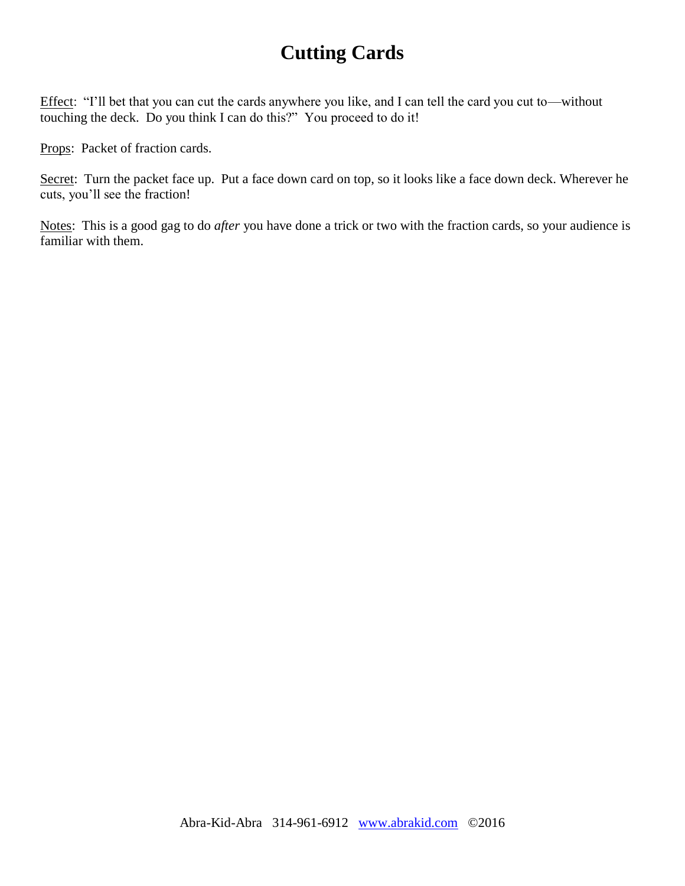# **Cutting Cards**

Effect: "I'll bet that you can cut the cards anywhere you like, and I can tell the card you cut to—without touching the deck. Do you think I can do this?" You proceed to do it!

Props: Packet of fraction cards.

Secret: Turn the packet face up. Put a face down card on top, so it looks like a face down deck. Wherever he cuts, you'll see the fraction!

Notes: This is a good gag to do *after* you have done a trick or two with the fraction cards, so your audience is familiar with them.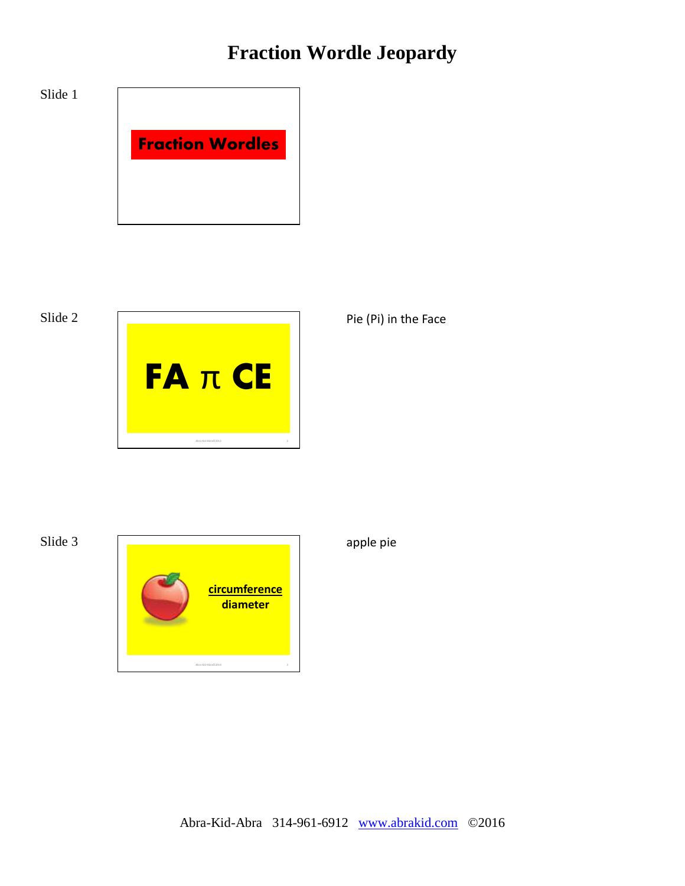# **Fraction Wordle Jeopardy**



Slide 2



Pie (Pi) in the Face

Slide 3



apple pie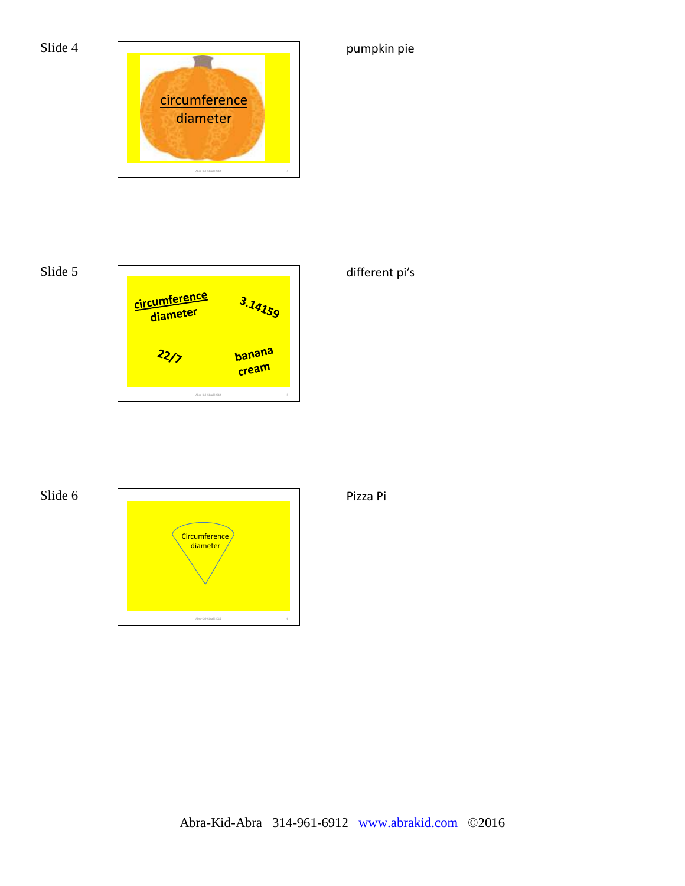

# Slide 5



### different pi's

pumpkin pie

### Slide 6



Pizza Pi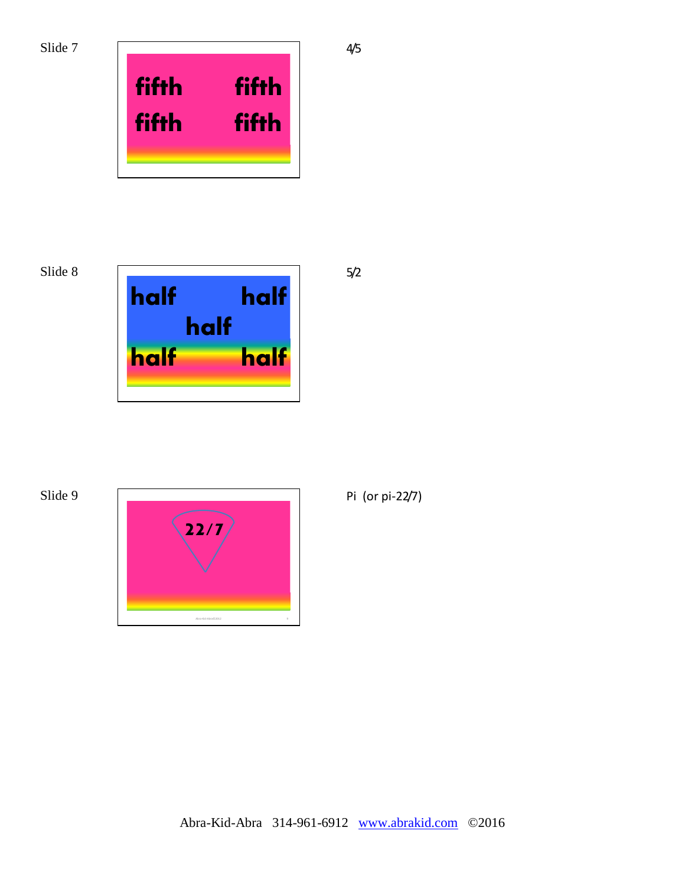

Slide 8







Pi (or pi-22/7)

4/5

5/2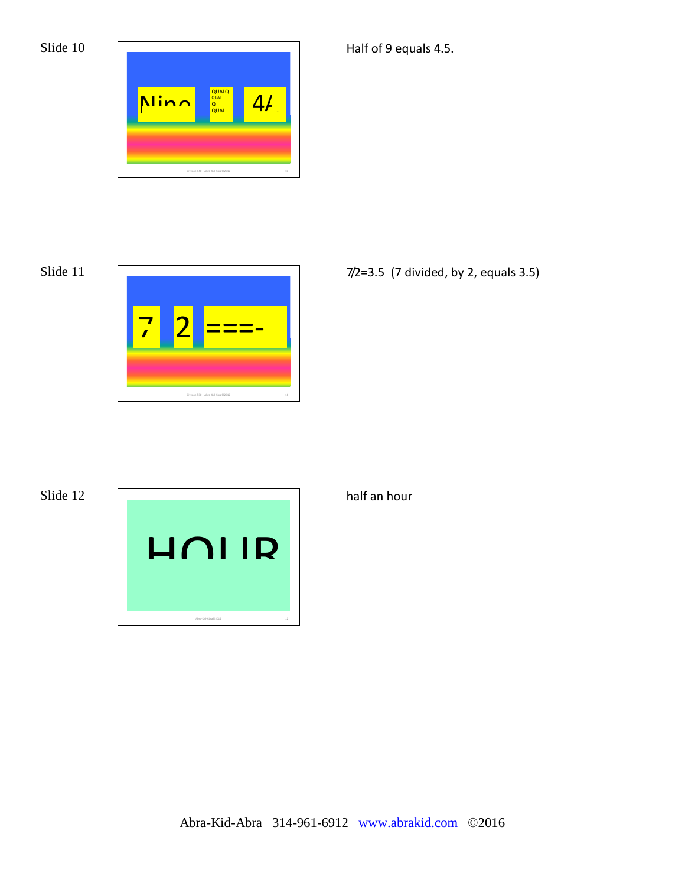

Slide 11



7/2=3.5 (7 divided, by 2, equals 3.5)

Half of 9 equals 4.5.

Slide 12



half an hour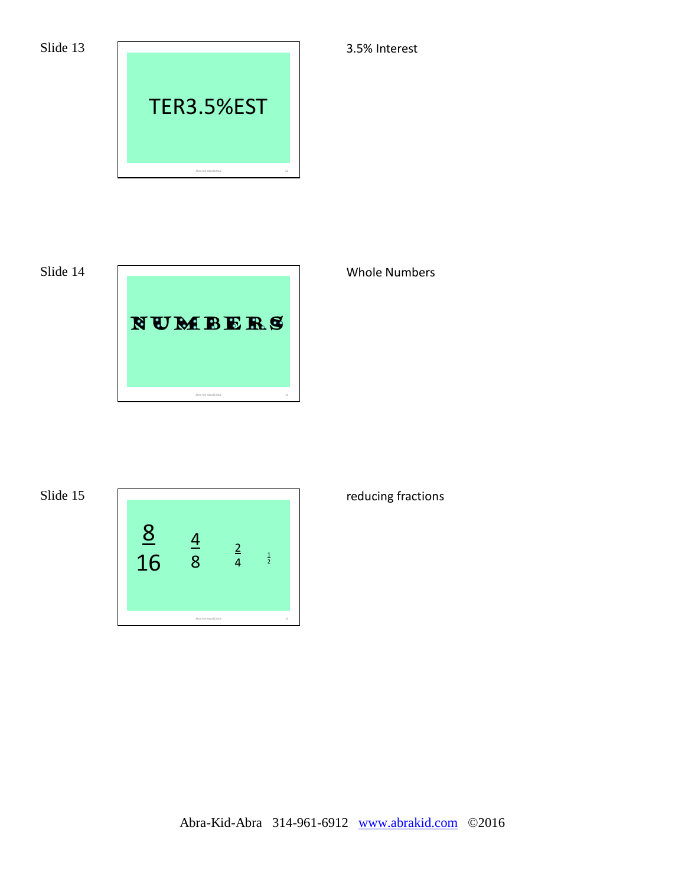

Slide 14



Whole Numbers

3.5% Interest

Slide 15



### reducing fractions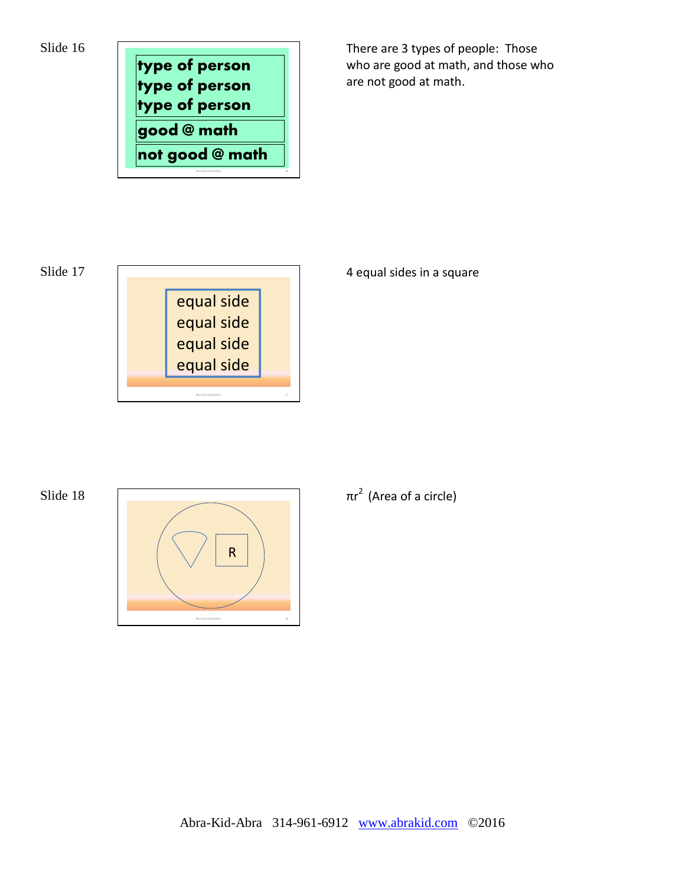Slide 16



There are 3 types of people: Those who are good at math, and those who are not good at math.



### Slide 18



4 equal sides in a square

### $\pi$ r<sup>2</sup> (Area of a circle)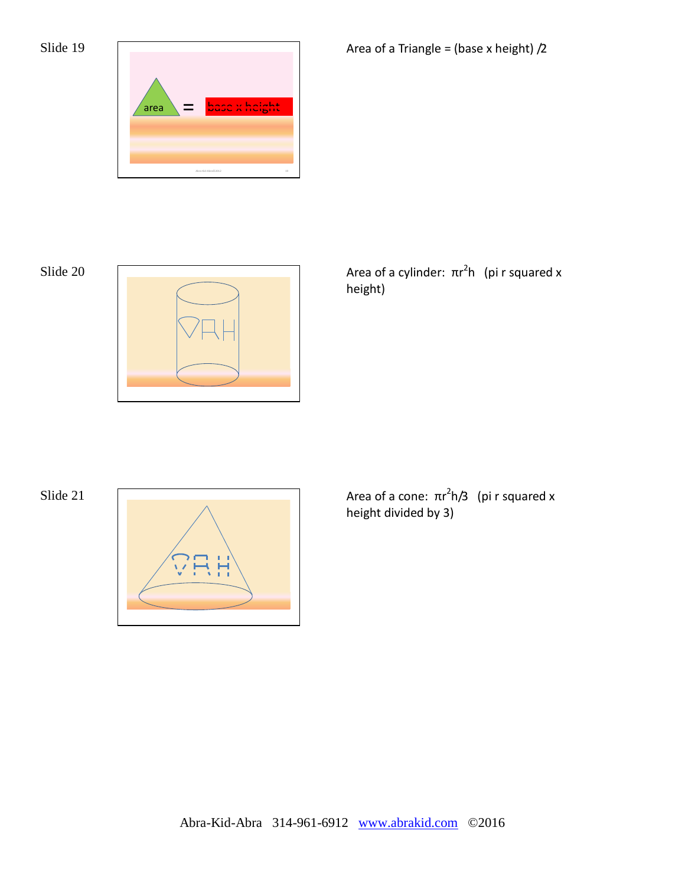



Slide 20  $\sqrt{a^2 + b^2}$  Area of a cylinder:  $\pi r^2$ h (pi r squared x height)



Slide 21  $\sqrt{a^2 + b^2}$  Area of a cone:  $\pi r^2 h/3$  (pi r squared x height divided by 3)

Area of a Triangle = (base x height)  $/2$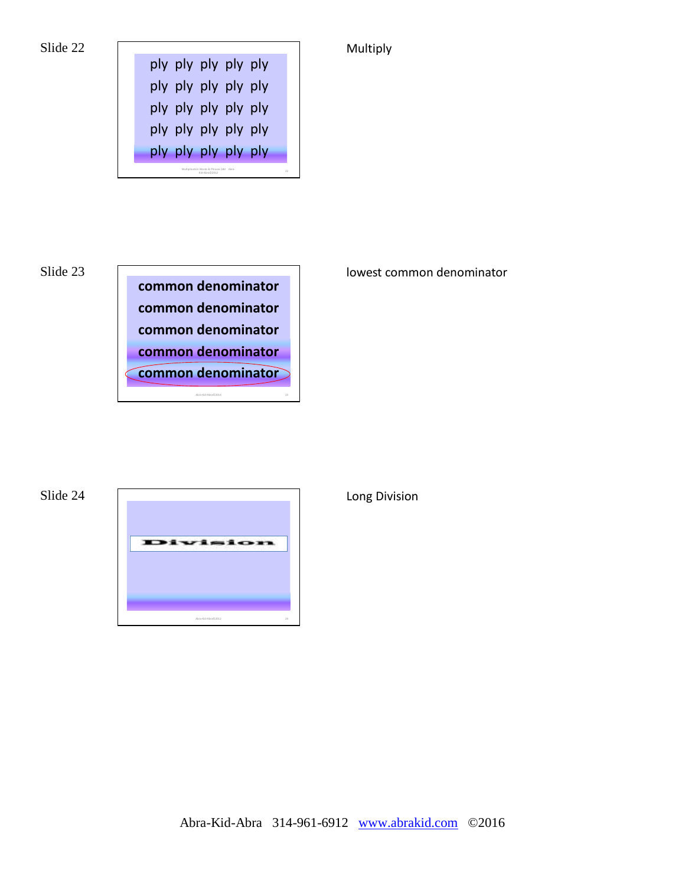





lowest common denominator

**Multiply** 



Long Division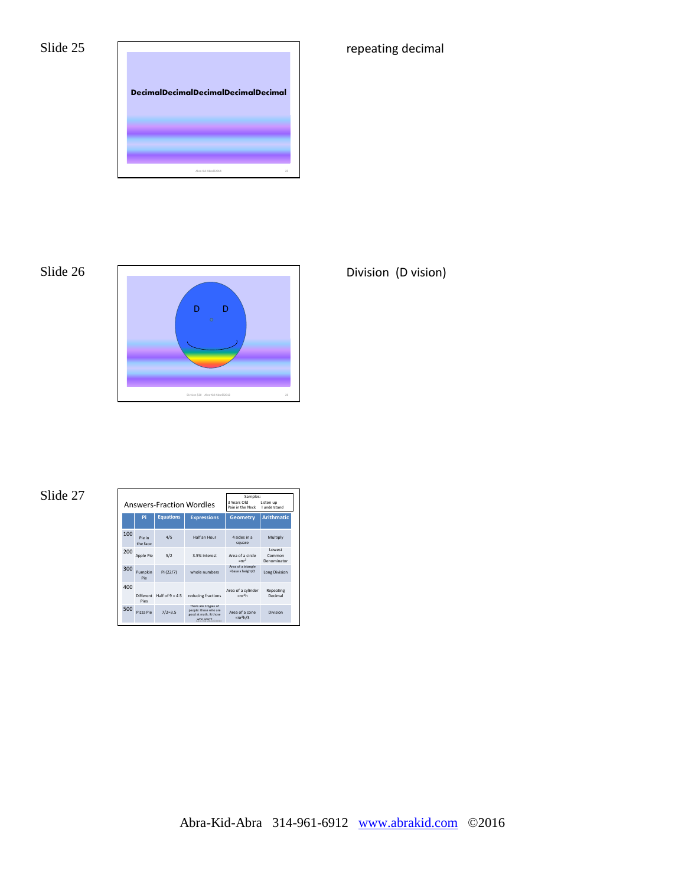

Slide 26



Division (D vision)

repeating decimal

### Slide 27

| <b>Answers-Fraction Wordles</b> |                    |                   |                                                                                      | Samples:<br>3 Years Old<br>Listen up<br>Pain in the Neck<br>Lunderstand |                                  |
|---------------------------------|--------------------|-------------------|--------------------------------------------------------------------------------------|-------------------------------------------------------------------------|----------------------------------|
|                                 | Pi                 | <b>Equations</b>  | <b>Expressions</b>                                                                   | <b>Geometry</b>                                                         | <b>Arithmatic</b>                |
| 100                             | Pie in<br>the face | 4/5               | Half an Hour                                                                         | 4 sides in a<br>square                                                  | Multiply                         |
| 200                             | Apple Pie          | 5/2               | 3.5% interest                                                                        | Area of a circle<br>$= \pi r^2$                                         | I owest<br>Common<br>Denominator |
| 300                             | Pumpkin<br>Pip     | Pi (22/7)         | whole numbers                                                                        | Area of a triangle<br>=base x height/2                                  | <b>Long Division</b>             |
| 400                             | Different<br>Pips  | Half of $9 = 4.5$ | reducing fractions                                                                   | Area of a cylinder<br>$\pi r^2 h$                                       | Repeating<br>Decimal             |
| 500                             | Pizza Pie          | $7/2 = 3.5$       | There are 3 types of<br>people: those who are<br>good at math. & those<br>who aren't | Area of a cone<br>$=\pi r^2 h/3$                                        | Division                         |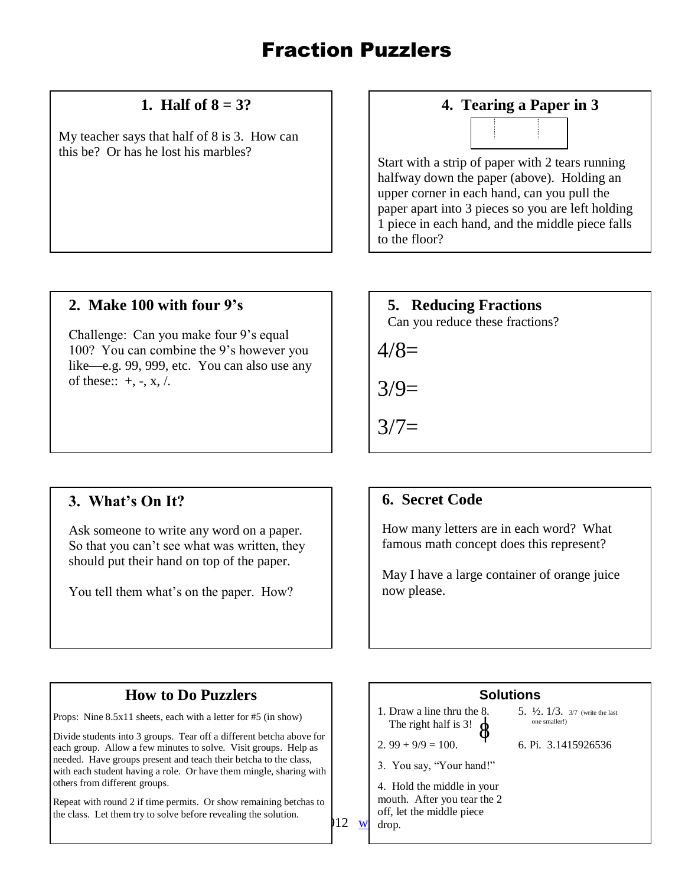# Fraction Puzzlers

### **1. Half of 8 = 3?**

My teacher says that half of 8 is 3. How can this be? Or has he lost his marbles?

### **2. Make 100 with four 9's**

Challenge: Can you make four 9's equal 100? You can combine the 9's however you like—e.g. 99, 999, etc. You can also use any of these::  $+$ ,  $-$ ,  $x$ ,  $\lambda$ .

### **3. What's On It?**

Ask someone to write any word on a paper. So that you can't see what was written, they should put their hand on top of the paper.

You tell them what's on the paper. How?

### **4. Tearing a Paper in 3**



Start with a strip of paper with 2 tears running halfway down the paper (above). Holding an upper corner in each hand, can you pull the paper apart into 3 pieces so you are left holding 1 piece in each hand, and the middle piece falls to the floor?

### **5. Reducing Fractions**

Can you reduce these fractions?

 $4/8=$ 

 $3/9=$ 

 $3/7=$ 

### **6. Secret Code**

How many letters are in each word? What famous math concept does this represent?

May I have a large container of orange juice now please.

### **How to Do Puzzlers**

Props: Nine 8.5x11 sheets, each with a letter for #5 (in show)

Divide students into 3 groups. Tear off a different betcha above for each group. Allow a few minutes to solve. Visit groups. Help as needed. Have groups present and teach their betcha to the class, with each student having a role. Or have them mingle, sharing with others from different groups.

Repeat with round 2 if time permits. Or show remaining betchas to the class. Let them try to solve before revealing the solution.

**Solutions**

 1. Draw a line thru the 8. The right half is 3!

2.  $99 + 9/9 = 100$ .

3. You say, "Your hand!"

4. Hold the middle in your mouth. After you tear the 2 off, let the middle piece drop.

- 5.  $\frac{1}{2}$ ,  $\frac{1}{3}$ ,  $\frac{3}{7}$  (write the last one smaller!)
- 6. Pi. 3.1415926536

 $912 \text{ w}$